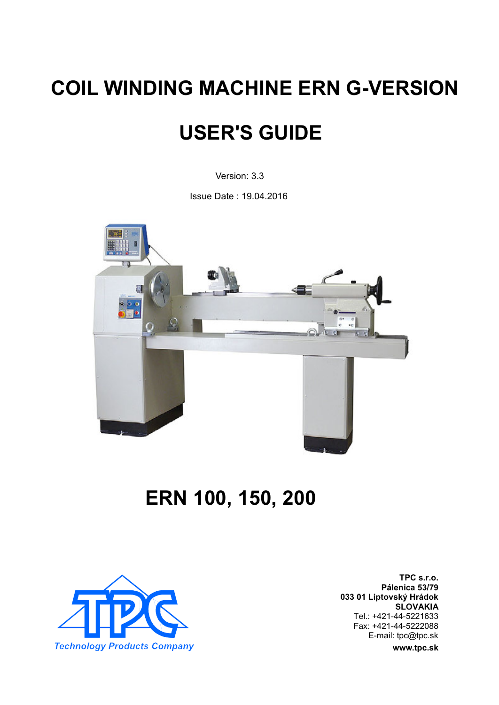# **COIL WINDING MACHINE ERN G-VERSION USER'S GUIDE**

Version: 3.3

Issue Date : 19.04.2016



# **ERN 100, 150, 200**



**www.tpc.sk TPC s.r.o. Pálenica 53/79 033 01 Liptovský Hrádok SLOVAKIA** Tel.: +421-44-5221633 Fax: +421-44-5222088 E-mail: tpc@tpc.sk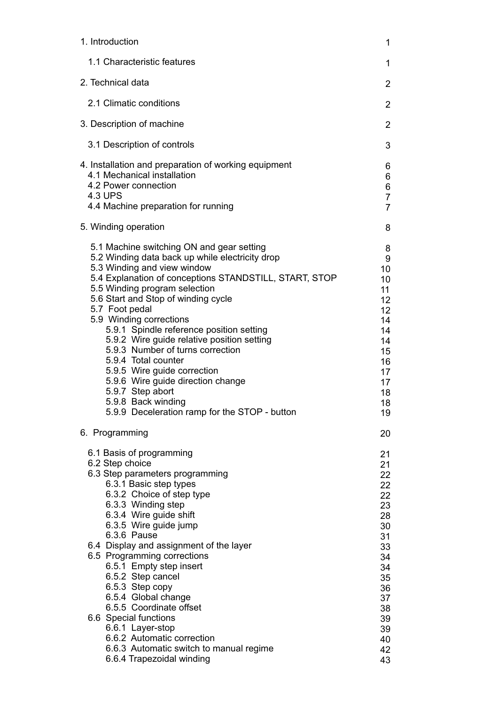| 1. Introduction                                                                                                                                                                                                                                                                                                                                                                                                                                                                                                                                                                                                                                  | 1                                                                                                                          |
|--------------------------------------------------------------------------------------------------------------------------------------------------------------------------------------------------------------------------------------------------------------------------------------------------------------------------------------------------------------------------------------------------------------------------------------------------------------------------------------------------------------------------------------------------------------------------------------------------------------------------------------------------|----------------------------------------------------------------------------------------------------------------------------|
| 1.1 Characteristic features                                                                                                                                                                                                                                                                                                                                                                                                                                                                                                                                                                                                                      | 1                                                                                                                          |
| 2. Technical data                                                                                                                                                                                                                                                                                                                                                                                                                                                                                                                                                                                                                                | $\overline{2}$                                                                                                             |
| 2.1 Climatic conditions                                                                                                                                                                                                                                                                                                                                                                                                                                                                                                                                                                                                                          | $\overline{2}$                                                                                                             |
| 3. Description of machine                                                                                                                                                                                                                                                                                                                                                                                                                                                                                                                                                                                                                        | 2                                                                                                                          |
| 3.1 Description of controls                                                                                                                                                                                                                                                                                                                                                                                                                                                                                                                                                                                                                      | 3                                                                                                                          |
| 4. Installation and preparation of working equipment<br>4.1 Mechanical installation<br>4.2 Power connection<br>4.3 UPS<br>4.4 Machine preparation for running                                                                                                                                                                                                                                                                                                                                                                                                                                                                                    | 6<br>6<br>$\,$ 6 $\,$<br>$\overline{7}$<br>$\overline{7}$                                                                  |
| 5. Winding operation                                                                                                                                                                                                                                                                                                                                                                                                                                                                                                                                                                                                                             | 8                                                                                                                          |
| 5.1 Machine switching ON and gear setting<br>5.2 Winding data back up while electricity drop<br>5.3 Winding and view window<br>5.4 Explanation of conceptions STANDSTILL, START, STOP<br>5.5 Winding program selection<br>5.6 Start and Stop of winding cycle<br>5.7 Foot pedal<br>5.9 Winding corrections<br>5.9.1 Spindle reference position setting<br>5.9.2 Wire guide relative position setting<br>5.9.3 Number of turns correction<br>5.9.4 Total counter<br>5.9.5 Wire guide correction<br>5.9.6 Wire guide direction change<br>5.9.7 Step abort<br>5.9.8 Back winding<br>5.9.9 Deceleration ramp for the STOP - button<br>6. Programming | 8<br>9<br>10<br>10<br>11<br>12<br>12<br>14<br>14<br>14<br>15<br>16<br>17<br>17<br>18<br>18<br>19<br>20                     |
| 6.1 Basis of programming<br>6.2 Step choice<br>6.3 Step parameters programming<br>6.3.1 Basic step types<br>6.3.2 Choice of step type<br>6.3.3 Winding step<br>6.3.4 Wire guide shift<br>6.3.5 Wire guide jump<br>6.3.6 Pause<br>6.4 Display and assignment of the layer<br>6.5 Programming corrections<br>6.5.1 Empty step insert<br>6.5.2 Step cancel<br>6.5.3 Step copy<br>6.5.4 Global change<br>6.5.5 Coordinate offset<br>6.6 Special functions<br>6.6.1 Layer-stop<br>6.6.2 Automatic correction<br>6.6.3 Automatic switch to manual regime<br>6.6.4 Trapezoidal winding                                                                  | 21<br>21<br>22<br>22<br>22<br>23<br>28<br>30<br>31<br>33<br>34<br>34<br>35<br>36<br>37<br>38<br>39<br>39<br>40<br>42<br>43 |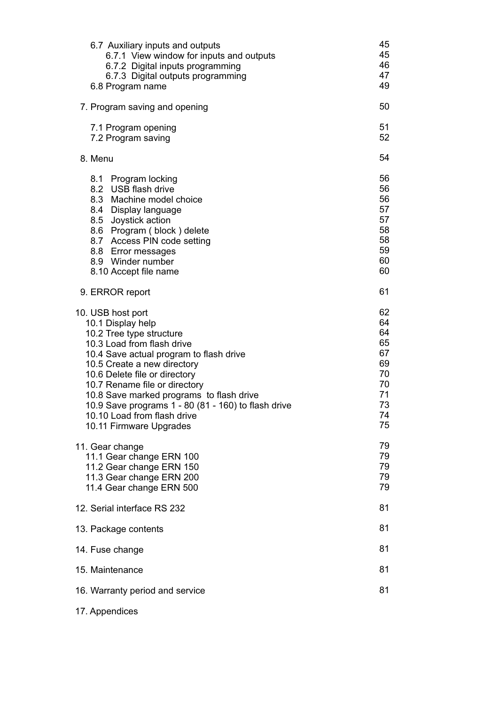| 6.7 Auxiliary inputs and outputs<br>6.7.1 View window for inputs and outputs<br>6.7.2 Digital inputs programming<br>6.7.3 Digital outputs programming<br>6.8 Program name                                                                                                                                                                                                                                 | 45<br>45<br>46<br>47<br>49                                           |
|-----------------------------------------------------------------------------------------------------------------------------------------------------------------------------------------------------------------------------------------------------------------------------------------------------------------------------------------------------------------------------------------------------------|----------------------------------------------------------------------|
| 7. Program saving and opening                                                                                                                                                                                                                                                                                                                                                                             | 50                                                                   |
| 7.1 Program opening<br>7.2 Program saving                                                                                                                                                                                                                                                                                                                                                                 | 51<br>52                                                             |
| 8. Menu                                                                                                                                                                                                                                                                                                                                                                                                   | 54                                                                   |
| 8.1<br>Program locking<br>8.2 USB flash drive<br>8.3 Machine model choice<br>8.4 Display language<br>8.5 Joystick action<br>8.6 Program (block) delete<br>8.7 Access PIN code setting<br>8.8 Error messages<br>8.9 Winder number<br>8.10 Accept file name                                                                                                                                                 | 56<br>56<br>56<br>57<br>57<br>58<br>58<br>59<br>60<br>60             |
| 9. ERROR report                                                                                                                                                                                                                                                                                                                                                                                           | 61                                                                   |
| 10. USB host port<br>10.1 Display help<br>10.2 Tree type structure<br>10.3 Load from flash drive<br>10.4 Save actual program to flash drive<br>10.5 Create a new directory<br>10.6 Delete file or directory<br>10.7 Rename file or directory<br>10.8 Save marked programs to flash drive<br>10.9 Save programs 1 - 80 (81 - 160) to flash drive<br>10.10 Load from flash drive<br>10.11 Firmware Upgrades | 62<br>64<br>64<br>65<br>67<br>69<br>70<br>70<br>71<br>73<br>74<br>75 |
| 11. Gear change<br>11.1 Gear change ERN 100<br>11.2 Gear change ERN 150<br>11.3 Gear change ERN 200<br>11.4 Gear change ERN 500                                                                                                                                                                                                                                                                           | 79<br>79<br>79<br>79<br>79                                           |
| 12. Serial interface RS 232                                                                                                                                                                                                                                                                                                                                                                               | 81                                                                   |
| 13. Package contents                                                                                                                                                                                                                                                                                                                                                                                      | 81                                                                   |
| 14. Fuse change                                                                                                                                                                                                                                                                                                                                                                                           | 81                                                                   |
| 15. Maintenance                                                                                                                                                                                                                                                                                                                                                                                           | 81                                                                   |
| 16. Warranty period and service                                                                                                                                                                                                                                                                                                                                                                           | 81                                                                   |
| 17. Appendices                                                                                                                                                                                                                                                                                                                                                                                            |                                                                      |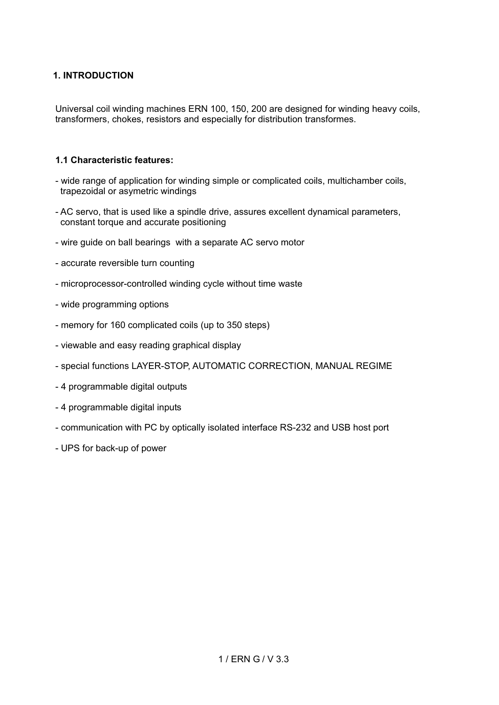## **1. INTRODUCTION**

Universal coil winding machines ERN 100, 150, 200 are designed for winding heavy coils, transformers, chokes, resistors and especially for distribution transformes.

#### **1.1 Characteristic features:**

- wide range of application for winding simple or complicated coils, multichamber coils, trapezoidal or asymetric windings
- AC servo, that is used like a spindle drive, assures excellent dynamical parameters, constant torque and accurate positioning
- wire guide on ball bearings with a separate AC servo motor
- accurate reversible turn counting
- microprocessor-controlled winding cycle without time waste
- wide programming options
- memory for 160 complicated coils (up to 350 steps)
- viewable and easy reading graphical display
- special functions LAYER-STOP, AUTOMATIC CORRECTION, MANUAL REGIME
- 4 programmable digital outputs
- 4 programmable digital inputs
- communication with PC by optically isolated interface RS-232 and USB host port
- UPS for back-up of power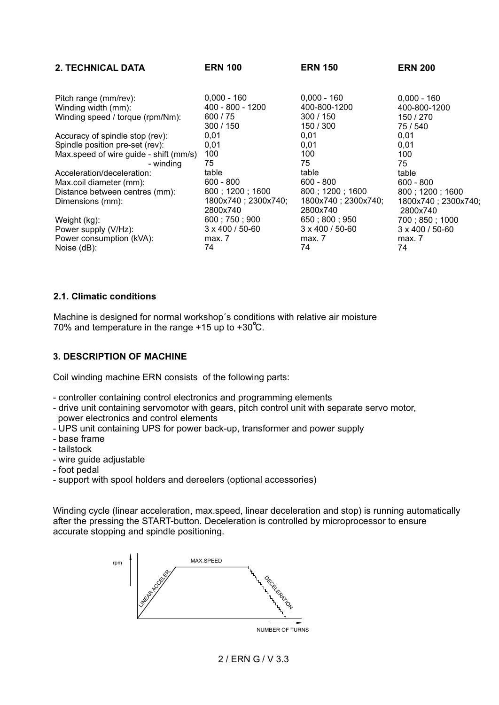| 2. IECHNICAL DAIA                                  | ERN 100                                            | ERN 150                                              | <b>ERN 200</b>                                       |
|----------------------------------------------------|----------------------------------------------------|------------------------------------------------------|------------------------------------------------------|
| Pitch range (mm/rev):                              | $0.000 - 160$                                      | $0.000 - 160$                                        | $0.000 - 160$                                        |
| Winding width (mm):                                | 400 - 800 - 1200                                   | 400-800-1200                                         | 400-800-1200                                         |
| Winding speed / torque (rpm/Nm):                   | 600/75<br>300 / 150                                | 300 / 150<br>150 / 300                               | 150 / 270<br>75 / 540                                |
| Accuracy of spindle stop (rev):                    | 0,01                                               | 0,01                                                 | 0,01                                                 |
| Spindle position pre-set (rev):                    | 0,01                                               | 0,01                                                 | 0,01                                                 |
| Max.speed of wire guide - shift (mm/s)             | 100                                                | 100                                                  | 100                                                  |
| - winding                                          | 75                                                 | 75                                                   | 75                                                   |
| Acceleration/deceleration:                         | table                                              | table                                                | table                                                |
| Max.coil diameter (mm):                            | $600 - 800$                                        | $600 - 800$                                          | $600 - 800$                                          |
| Distance between centres (mm):<br>Dimensions (mm): | 800; 1200; 1600<br>1800x740; 2300x740;<br>2800x740 | 800 ; 1200 ; 1600<br>1800x740; 2300x740;<br>2800x740 | 800 ; 1200 ; 1600<br>1800x740; 2300x740;<br>2800x740 |
| Weight (kg):                                       | 600; 750; 900                                      | 650;800;950                                          | 700 ; 850 ; 1000                                     |
| Power supply (V/Hz):                               | 3 x 400 / 50-60                                    | $3 \times 400 / 50 - 60$                             | 3 x 400 / 50-60                                      |
| Power consumption (kVA):                           | max. 7                                             | max. 7                                               | max. 7                                               |
| Noise (dB):                                        | 74                                                 | 74                                                   | 74                                                   |
|                                                    |                                                    |                                                      |                                                      |

**ERN 150** 

**ERN 200**

#### **2.1. Climatic conditions**

**2. TECHNICAL DATA**

Machine is designed for normal workshop´s conditions with relative air moisture 70% and temperature in the range  $+15$  up to  $+30^{\circ}$ C.

**ERN 100** 

#### **3. DESCRIPTION OF MACHINE**

Coil winding machine ERN consists of the following parts:

- controller containing control electronics and programming elements
- drive unit containing servomotor with gears, pitch control unit with separate servo motor, power electronics and control elements
- UPS unit containing UPS for power back-up, transformer and power supply
- base frame
- tailstock
- wire guide adjustable
- foot pedal
- support with spool holders and dereelers (optional accessories)

Winding cycle (linear acceleration, max.speed, linear deceleration and stop) is running automatically after the pressing the START-button. Deceleration is controlled by microprocessor to ensure accurate stopping and spindle positioning.

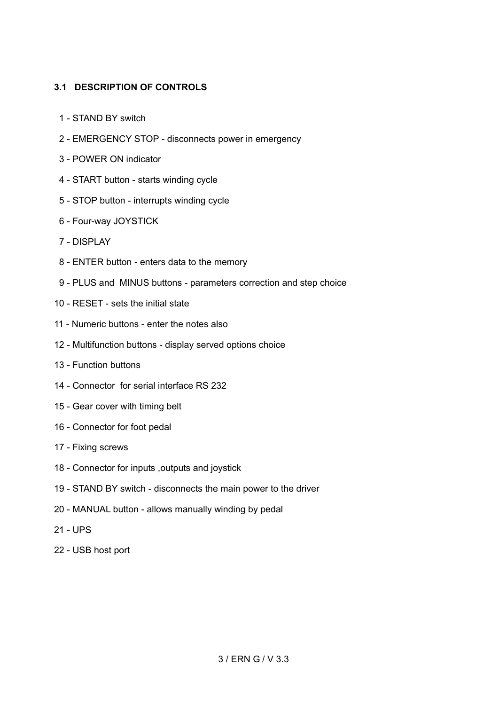#### **3.1 DESCRIPTION OF CONTROLS**

- 1 STAND BY switch
- 2 EMERGENCY STOP disconnects power in emergency
- 3 POWER ON indicator
- 4 START button starts winding cycle
- 5 STOP button interrupts winding cycle
- 6 Four-way JOYSTICK
- 7 DISPLAY
- 8 ENTER button enters data to the memory
- 9 PLUS and MINUS buttons parameters correction and step choice
- 10 RESET sets the initial state
- 11 Numeric buttons enter the notes also
- 12 Multifunction buttons display served options choice
- 13 Function buttons
- 14 Connector for serial interface RS 232
- 15 Gear cover with timing belt
- 16 Connector for foot pedal
- 17 Fixing screws
- 18 Connector for inputs ,outputs and joystick
- 19 STAND BY switch disconnects the main power to the driver
- 20 MANUAL button allows manually winding by pedal
- 21 UPS
- 22 USB host port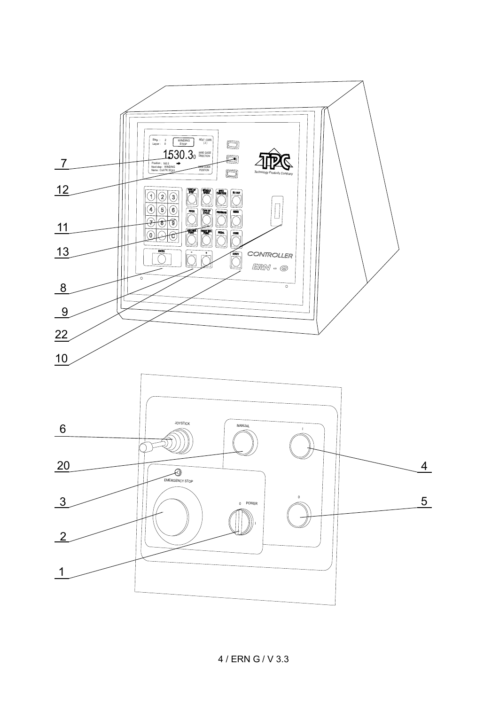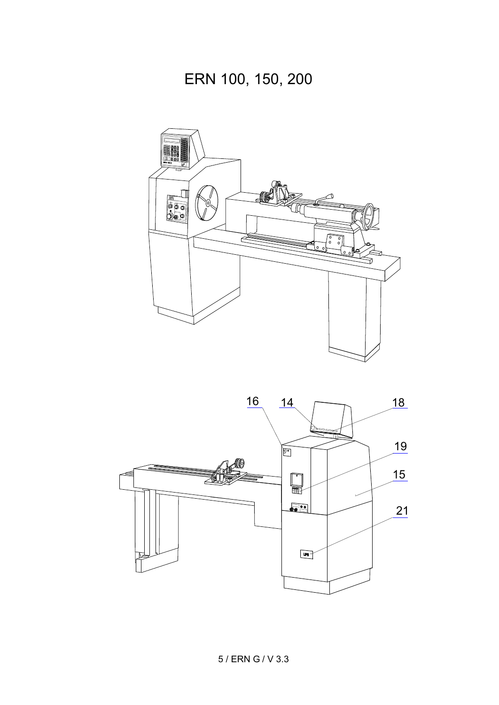

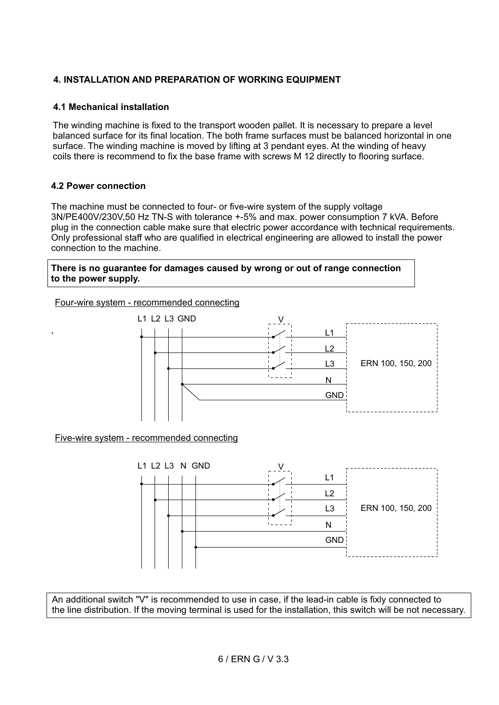# **4. INSTALLATION AND PREPARATION OF WORKING EQUIPMENT**

#### **4.1 Mechanical installation**

The winding machine is fixed to the transport wooden pallet. It is necessary to prepare a level balanced surface for its final location. The both frame surfaces must be balanced horizontal in one surface. The winding machine is moved by lifting at 3 pendant eyes. At the winding of heavy coils there is recommend to fix the base frame with screws M 12 directly to flooring surface.

#### **4.2 Power connection**

,

The machine must be connected to four- or five-wire system of the supply voltage 3N/PE400V/230V,50 Hz TN-S with tolerance +-5% and max. power consumption 7 kVA. Before plug in the connection cable make sure that electric power accordance with technical requirements. Only professional staff who are qualified in electrical engineering are allowed to install the power connection to the machine.

#### **There is no guarantee for damages caused by wrong or out of range connection to the power supply.**

Four-wire system - recommended connecting



Five-wire system - recommended connecting



An additional switch "V" is recommended to use in case, if the lead-in cable is fixly connected to the line distribution. If the moving terminal is used for the installation, this switch will be not necessary.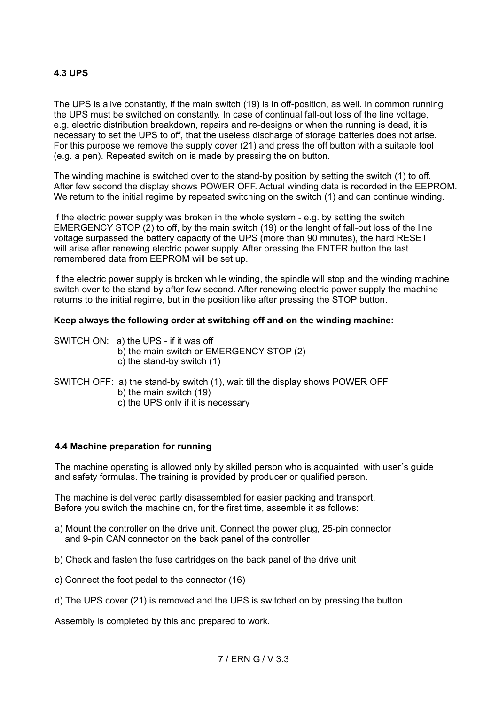#### **4.3 UPS**

The UPS is alive constantly, if the main switch (19) is in off-position, as well. In common running the UPS must be switched on constantly. In case of continual fall-out loss of the line voltage, e.g. electric distribution breakdown, repairs and re-designs or when the running is dead, it is necessary to set the UPS to off, that the useless discharge of storage batteries does not arise. For this purpose we remove the supply cover (21) and press the off button with a suitable tool (e.g. a pen). Repeated switch on is made by pressing the on button.

The winding machine is switched over to the stand-by position by setting the switch (1) to off. After few second the display shows POWER OFF. Actual winding data is recorded in the EEPROM. We return to the initial regime by repeated switching on the switch (1) and can continue winding.

If the electric power supply was broken in the whole system - e.g. by setting the switch EMERGENCY STOP (2) to off, by the main switch (19) or the lenght of fall-out loss of the line voltage surpassed the battery capacity of the UPS (more than 90 minutes), the hard RESET will arise after renewing electric power supply. After pressing the ENTER button the last remembered data from EEPROM will be set up.

If the electric power supply is broken while winding, the spindle will stop and the winding machine switch over to the stand-by after few second. After renewing electric power supply the machine returns to the initial regime, but in the position like after pressing the STOP button.

#### **Keep always the following order at switching off and on the winding machine:**

SWITCH ON: a) the UPS - if it was off b) the main switch or EMERGENCY STOP (2) c) the stand-by switch (1)

SWITCH OFF: a) the stand-by switch (1), wait till the display shows POWER OFF b) the main switch (19) c) the UPS only if it is necessary

#### **4.4 Machine preparation for running**

The machine operating is allowed only by skilled person who is acquainted with user´s guide and safety formulas. The training is provided by producer or qualified person.

The machine is delivered partly disassembled for easier packing and transport. Before you switch the machine on, for the first time, assemble it as follows:

- a) Mount the controller on the drive unit. Connect the power plug, 25-pin connector and 9-pin CAN connector on the back panel of the controller
- b) Check and fasten the fuse cartridges on the back panel of the drive unit
- c) Connect the foot pedal to the connector (16)
- d) The UPS cover (21) is removed and the UPS is switched on by pressing the button

Assembly is completed by this and prepared to work.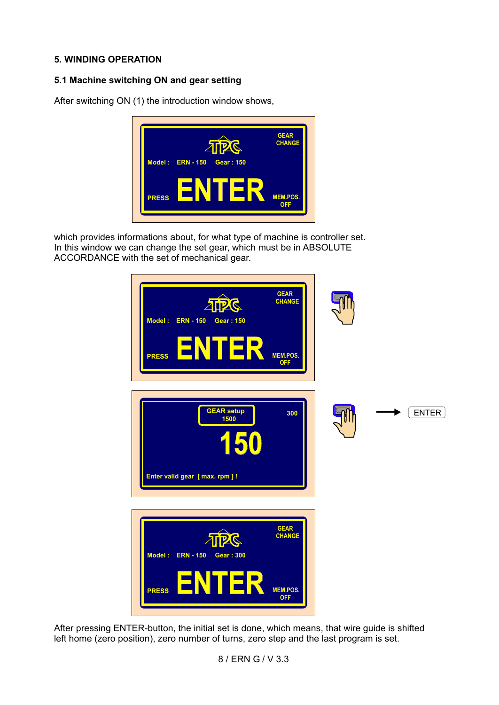#### **5. WINDING OPERATION**

#### **5.1 Machine switching ON and gear setting**

After switching ON (1) the introduction window shows,



which provides informations about, for what type of machine is controller set. In this window we can change the set gear, which must be in ABSOLUTE ACCORDANCE with the set of mechanical gear.



After pressing ENTER-button, the initial set is done, which means, that wire guide is shifted left home (zero position), zero number of turns, zero step and the last program is set.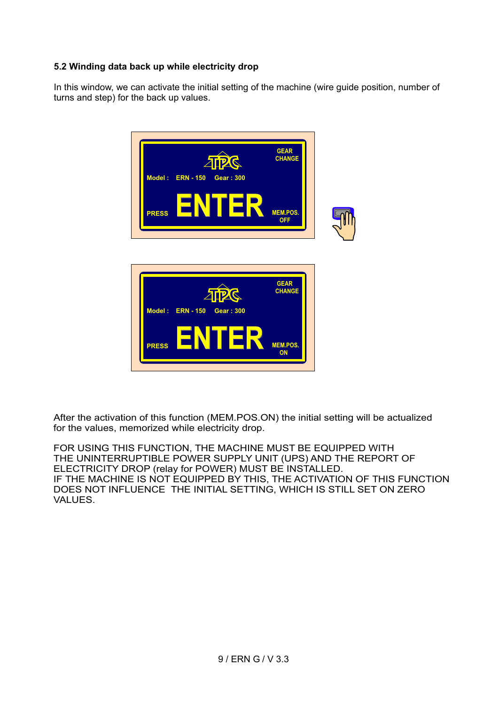#### **5.2 Winding data back up while electricity drop**

In this window, we can activate the initial setting of the machine (wire guide position, number of turns and step) for the back up values.





After the activation of this function (MEM.POS.ON) the initial setting will be actualized for the values, memorized while electricity drop.

FOR USING THIS FUNCTION, THE MACHINE MUST BE EQUIPPED WITH THE UNINTERRUPTIBLE POWER SUPPLY UNIT (UPS) AND THE REPORT OF ELECTRICITY DROP (relay for POWER) MUST BE INSTALLED. IF THE MACHINE IS NOT EQUIPPED BY THIS, THE ACTIVATION OF THIS FUNCTION DOES NOT INFLUENCE THE INITIAL SETTING, WHICH IS STILL SET ON ZERO VALUES.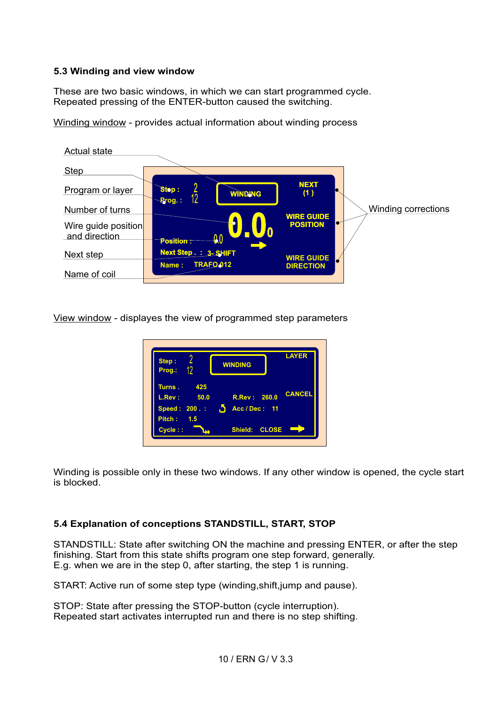#### **5.3 Winding and view window**

These are two basic windows, in which we can start programmed cycle. Repeated pressing of the ENTER-button caused the switching.

Winding window - provides actual information about winding process



View window - displayes the view of programmed step parameters



Winding is possible only in these two windows. If any other window is opened, the cycle start is blocked.

#### **5.4 Explanation of conceptions STANDSTILL, START, STOP**

STANDSTILL: State after switching ON the machine and pressing ENTER, or after the step finishing. Start from this state shifts program one step forward, generally. E.g. when we are in the step 0, after starting, the step 1 is running.

START: Active run of some step type (winding,shift,jump and pause).

STOP: State after pressing the STOP-button (cycle interruption). Repeated start activates interrupted run and there is no step shifting.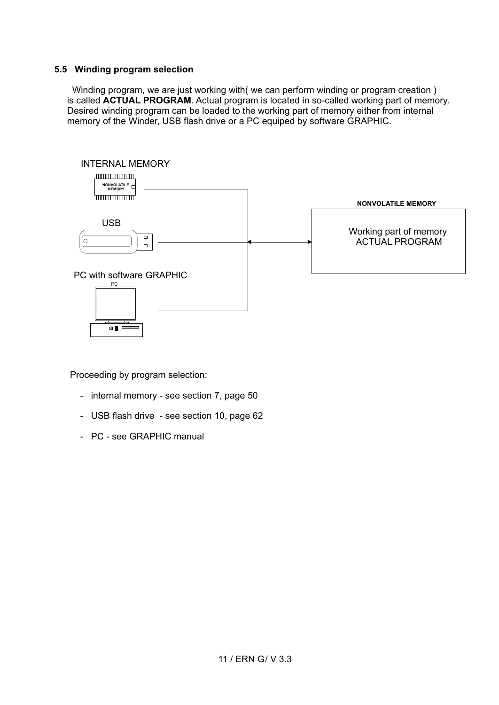#### **5.5 Winding program selection**

 Winding program, we are just working with( we can perform winding or program creation ) is called **ACTUAL PROGRAM**. Actual program is located in so-called working part of memory. Desired winding program can be loaded to the working part of memory either from internal memory of the Winder, USB flash drive or a PC equiped by software GRAPHIC.



Proceeding by program selection:

- internal memory see section 7, page 50
- USB flash drive see section 10, page 62
- PC see GRAPHIC manual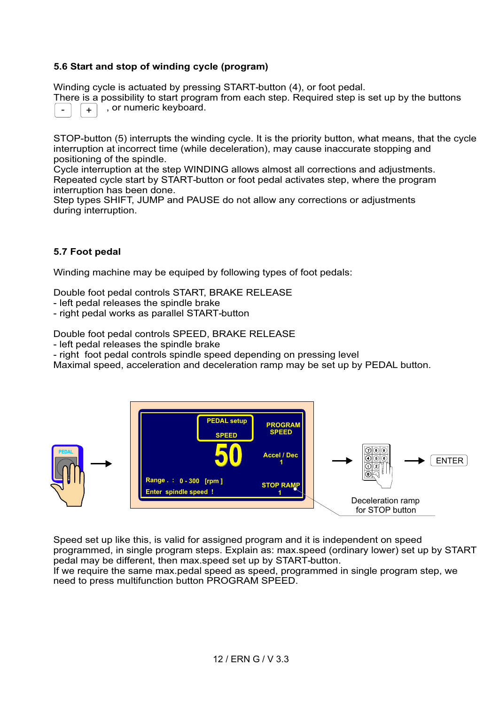#### **5.6 Start and stop of winding cycle (program)**

Winding cycle is actuated by pressing START-button (4), or foot pedal. There is a possibility to start program from each step. Required step is set up by the buttons

 $+$ 

 $\Box$   $\Box$ , or numeric keyboard.

STOP-button (5) interrupts the winding cycle. It is the priority button, what means, that the cycle interruption at incorrect time (while deceleration), may cause inaccurate stopping and positioning of the spindle.

Cycle interruption at the step WINDING allows almost all corrections and adjustments. Repeated cycle start by START-button or foot pedal activates step, where the program interruption has been done.

Step types SHIFT, JUMP and PAUSE do not allow any corrections or adjustments during interruption.

#### **5.7 Foot pedal**

Winding machine may be equiped by following types of foot pedals:

Double foot pedal controls START, BRAKE RELEASE

- left pedal releases the spindle brake
- right pedal works as parallel START-button

Double foot pedal controls SPEED, BRAKE RELEASE

- left pedal releases the spindle brake

- right foot pedal controls spindle speed depending on pressing level

Maximal speed, acceleration and deceleration ramp may be set up by PEDAL button.



Speed set up like this, is valid for assigned program and it is independent on speed programmed, in single program steps. Explain as: max.speed (ordinary lower) set up by START pedal may be different, then max.speed set up by START-button. If we require the same max.pedal speed as speed, programmed in single program step, we need to press multifunction button PROGRAM SPEED.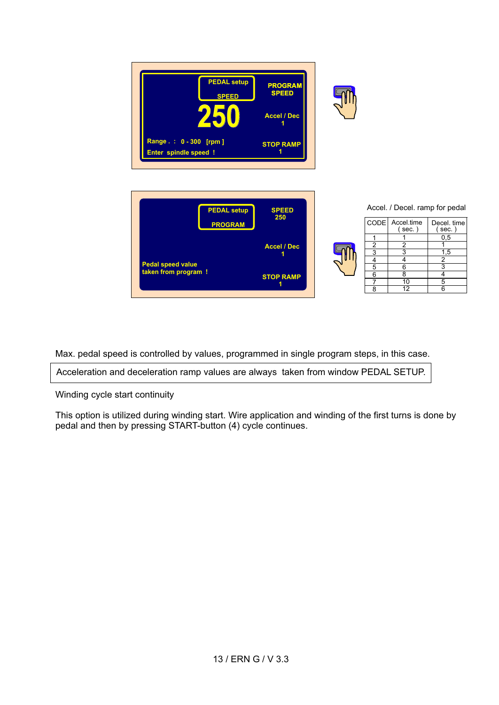



Max. pedal speed is controlled by values, programmed in single program steps, in this case.

Acceleration and deceleration ramp values are always taken from window PEDAL SETUP.

Winding cycle start continuity

This option is utilized during winding start. Wire application and winding of the first turns is done by pedal and then by pressing START-button (4) cycle continues.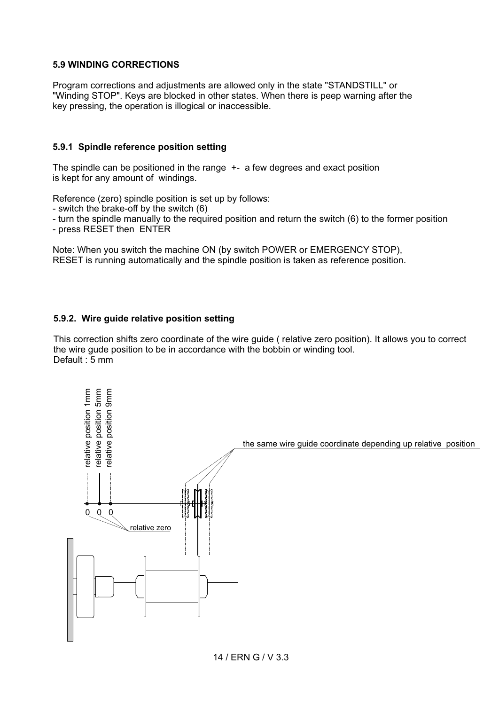#### **5.9 WINDING CORRECTIONS**

Program corrections and adjustments are allowed only in the state "STANDSTILL" or "Winding STOP". Keys are blocked in other states. When there is peep warning after the key pressing, the operation is illogical or inaccessible.

#### **5.9.1 Spindle reference position setting**

The spindle can be positioned in the range +- a few degrees and exact position is kept for any amount of windings.

Reference (zero) spindle position is set up by follows:

- switch the brake-off by the switch (6)

- turn the spindle manually to the required position and return the switch (6) to the former position

- press RESET then ENTER

Note: When you switch the machine ON (by switch POWER or EMERGENCY STOP), RESET is running automatically and the spindle position is taken as reference position.

#### **5.9.2. Wire guide relative position setting**

This correction shifts zero coordinate of the wire guide ( relative zero position). It allows you to correct the wire gude position to be in accordance with the bobbin or winding tool. Default : 5 mm

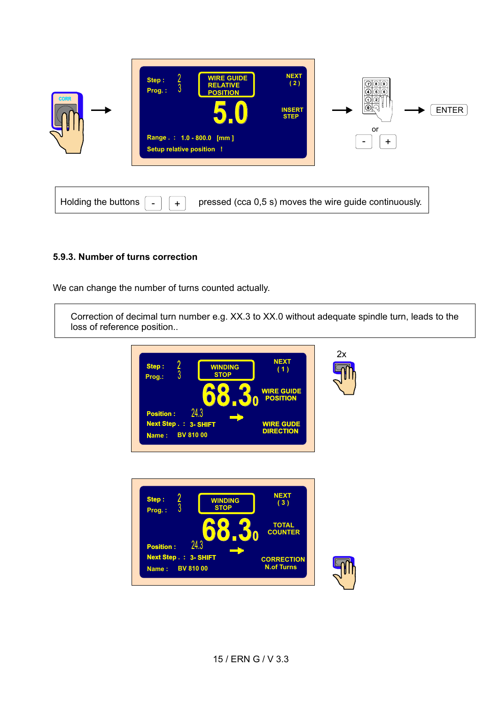| <b>CORR</b>         | <b>NEXT</b><br><b>WIRE GUIDE</b><br>Step:<br>(2)<br><b>RELATIVE</b><br>Prog.:<br>O<br><b>POSITION</b><br><b>INSERT</b><br><b>STEP</b><br>Range .: 1.0 - 800.0 [mm ]<br><b>Setup relative position !</b> | ⊣∣ <b>⊚</b> ⊬∙<br><b>ENTER</b><br>or<br>٠ |
|---------------------|---------------------------------------------------------------------------------------------------------------------------------------------------------------------------------------------------------|-------------------------------------------|
| Holding the buttons | pressed (cca 0,5 s) moves the wire guide continuously.<br>$\div$                                                                                                                                        |                                           |

#### **5.9.3. Number of turns correction**

We can change the number of turns counted actually.

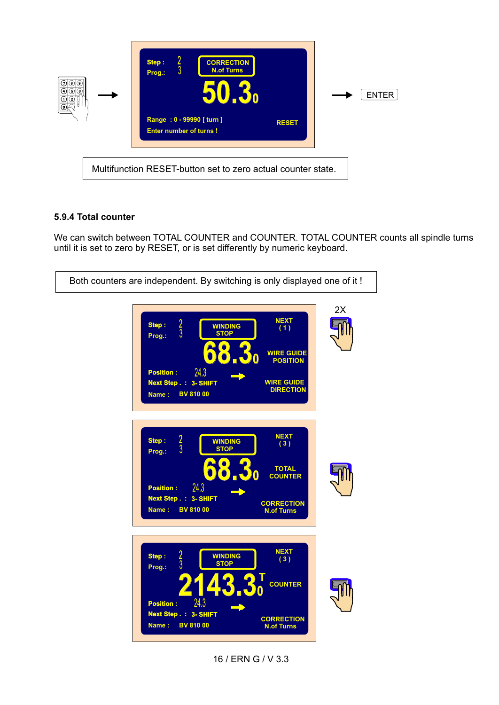

#### **5.9.4 Total counter**

We can switch between TOTAL COUNTER and COUNTER. TOTAL COUNTER counts all spindle turns until it is set to zero by RESET, or is set differently by numeric keyboard.

![](_page_18_Figure_3.jpeg)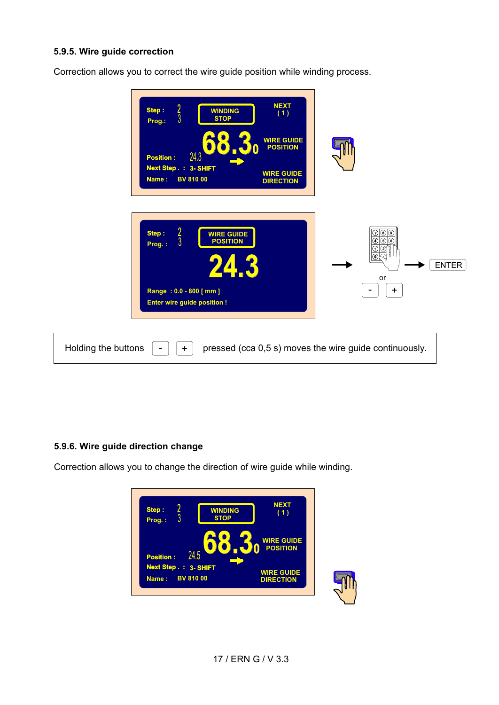# **5.9.5. Wire guide correction**

Correction allows you to correct the wire guide position while winding process.

|                     | <b>NEXT</b><br>Step:<br><b>WINDING</b><br>(1)<br>$\sqrt{3}$<br><b>STOP</b><br>Prog.:<br><b>WIRE GUIDE<br/>POSITION</b><br>24.3<br><b>Position:</b><br>Next Step . : 3- SHIFT<br><b>WIRE GUIDE</b><br><b>BV 810 00</b><br>Name:<br><b>DIRECTION</b> |                                                        |
|---------------------|----------------------------------------------------------------------------------------------------------------------------------------------------------------------------------------------------------------------------------------------------|--------------------------------------------------------|
|                     | <b>WIRE GUIDE</b><br>Step:<br>3<br><b>POSITION</b><br>Prog.:<br>24.3                                                                                                                                                                               | ന∣⊚<br>໌ຍ<br>6<br><b>ENTER</b><br>or                   |
|                     | Range: 0.0 - 800 [mm]<br><b>Enter wire guide position!</b>                                                                                                                                                                                         | +                                                      |
| Holding the buttons | $\ddot{}$                                                                                                                                                                                                                                          | pressed (cca 0,5 s) moves the wire guide continuously. |

# **5.9.6. Wire guide direction change**

Correction allows you to change the direction of wire guide while winding.

| Step:<br><b>WINDING</b><br><b>STOP</b><br>Prog.:    | <b>NEXT</b><br>(1)                    |
|-----------------------------------------------------|---------------------------------------|
| 24.5<br><b>Position:</b>                            | <b>WIRE GUIDE</b><br><b>POSITION</b>  |
| Next Step . : 3- SHIFT<br><b>BV 810 00</b><br>Name: | <b>WIRE GUIDE</b><br><b>DIRECTION</b> |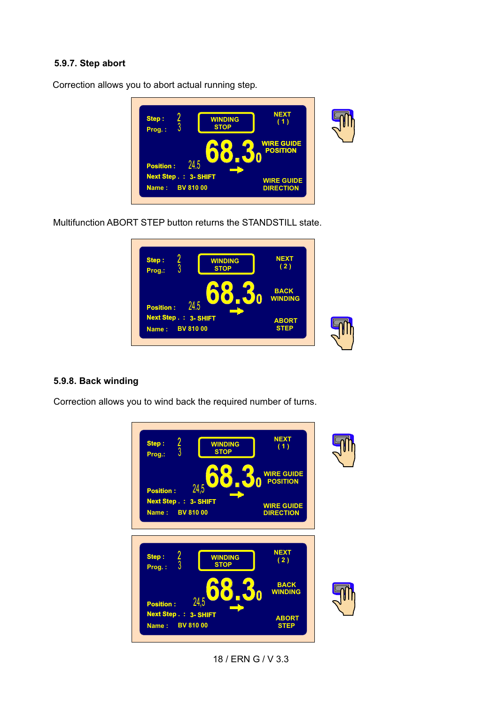#### **5.9.7. Step abort**

Correction allows you to abort actual running step.

![](_page_20_Picture_2.jpeg)

Multifunction ABORT STEP button returns the STANDSTILL state.

![](_page_20_Picture_4.jpeg)

#### **5.9.8. Back winding**

Correction allows you to wind back the required number of turns.

![](_page_20_Picture_7.jpeg)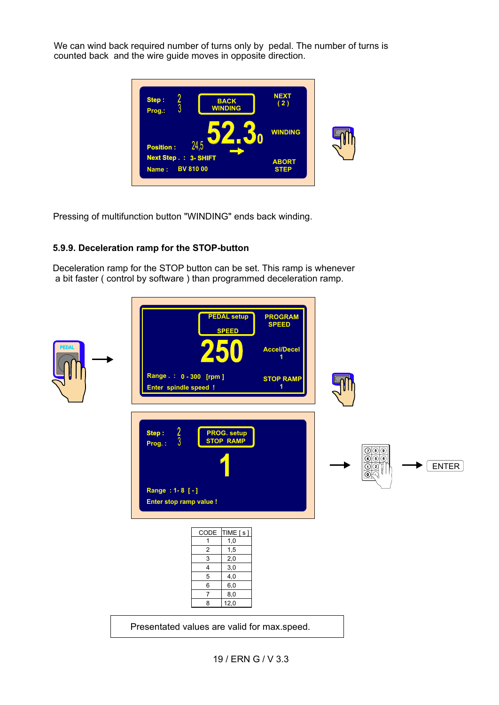We can wind back required number of turns only by pedal. The number of turns is counted back and the wire guide moves in opposite direction.

![](_page_21_Picture_1.jpeg)

Pressing of multifunction button "WINDING" ends back winding.

#### **5.9.9. Deceleration ramp for the STOP-button**

Deceleration ramp for the STOP button can be set. This ramp is whenever a bit faster ( control by software ) than programmed deceleration ramp.

![](_page_21_Picture_5.jpeg)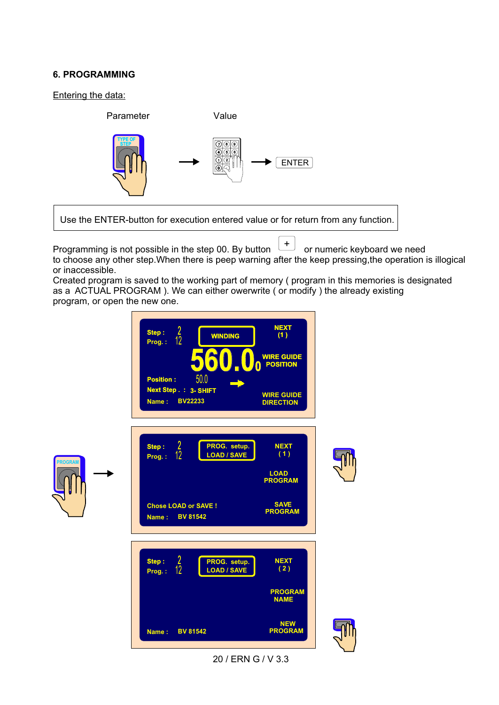# **6. PROGRAMMING**

#### Entering the data:

![](_page_22_Figure_2.jpeg)

Use the ENTER-button for execution entered value or for return from any function.

Programming is not possible in the step 00. By button  $\Box$  or numeric keyboard we need to choose any other step.When there is peep warning after the keep pressing,the operation is illogical or inaccessible. +

Created program is saved to the working part of memory ( program in this memories is designated as a ACTUAL PROGRAM ). We can either owerwrite ( or modify ) the already existing program, or open the new one.

![](_page_22_Figure_6.jpeg)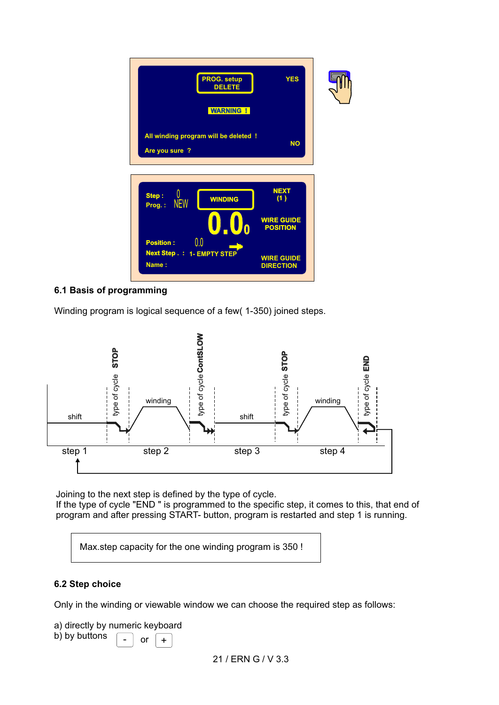![](_page_23_Picture_0.jpeg)

# **6.1 Basis of programming**

Winding program is logical sequence of a few( 1-350) joined steps.

![](_page_23_Figure_3.jpeg)

Joining to the next step is defined by the type of cycle.

If the type of cycle "END " is programmed to the specific step, it comes to this, that end of program and after pressing START- button, program is restarted and step 1 is running.

Max.step capacity for the one winding program is 350 !

#### **6.2 Step choice**

Only in the winding or viewable window we can choose the required step as follows:

a) directly by numeric keyboard

 $-$  or  $+$ b) by buttons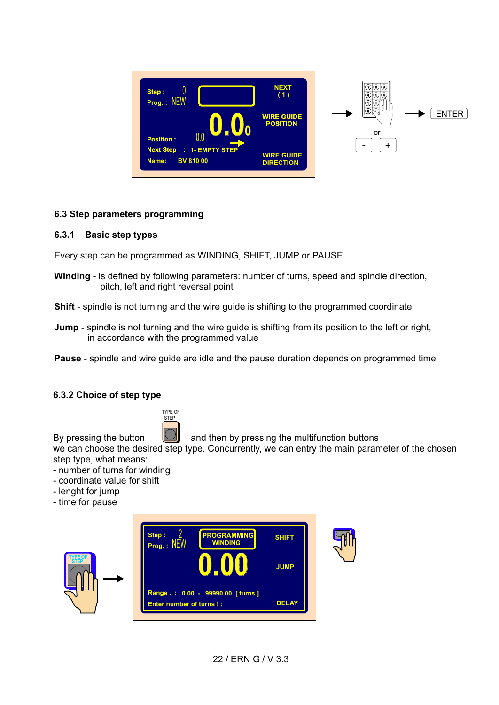![](_page_24_Picture_0.jpeg)

#### **6.3 Step parameters programming**

#### **6.3.1 Basic step types**

Every step can be programmed as WINDING, SHIFT, JUMP or PAUSE.

- **Winding** is defined by following parameters: number of turns, speed and spindle direction, pitch, left and right reversal point
- **Shift** spindle is not turning and the wire quide is shifting to the programmed coordinate
- **Jump** spindle is not turning and the wire guide is shifting from its position to the left or right, in accordance with the programmed value
- **Pause** spindle and wire guide are idle and the pause duration depends on programmed time

#### **6.3.2 Choice of step type**

![](_page_24_Picture_9.jpeg)

By pressing the button  $\Box$  and then by pressing the multifunction buttons

we can choose the desired step type. Concurrently, we can entry the main parameter of the chosen step type, what means:

- number of turns for winding
- coordinate value for shift
- lenght for jump
- time for pause

**TYPE OF STEP**

![](_page_24_Picture_16.jpeg)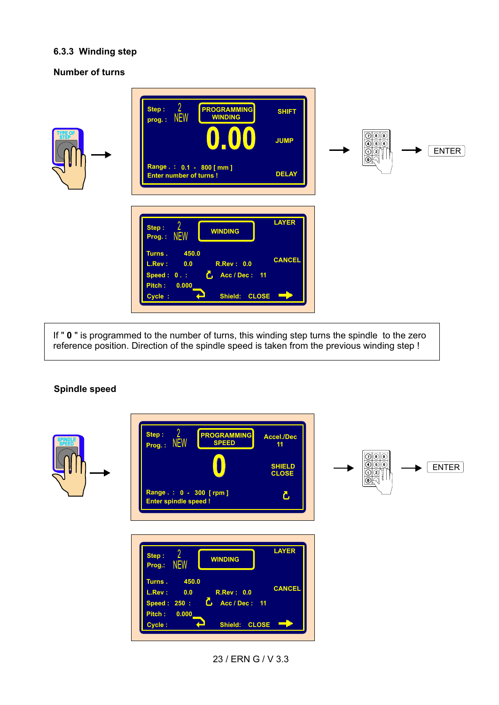#### **6.3.3 Winding step**

#### **Number of turns**

![](_page_25_Picture_2.jpeg)

If " **0** " is programmed to the number of turns, this winding step turns the spindle to the zero reference position. Direction of the spindle speed is taken from the previous winding step !

#### **Spindle speed**

**SPEED SPINDLE**

![](_page_25_Picture_5.jpeg)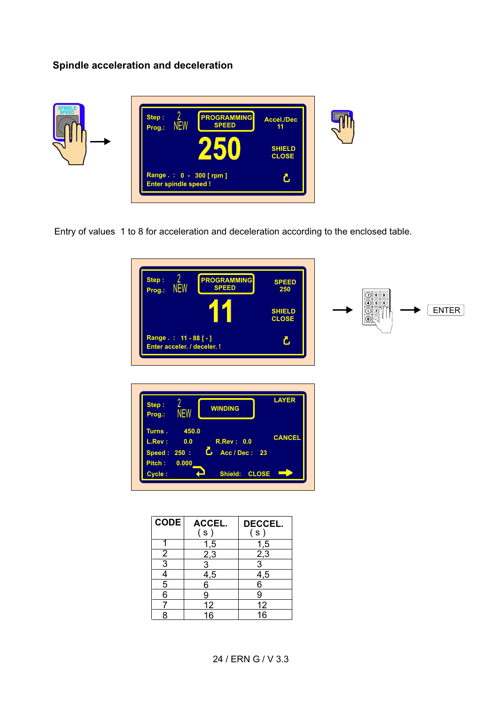# **Spindle acceleration and deceleration**

![](_page_26_Picture_1.jpeg)

Entry of values 1 to 8 for acceleration and deceleration according to the enclosed table.

![](_page_26_Figure_3.jpeg)

| Step:<br>Prog.:  | <b>NFW</b>   | <b>WINDING</b>          | <b>LAYER</b>  |
|------------------|--------------|-------------------------|---------------|
| Turns.<br>L.Rev: | 450.0<br>0.0 | <b>R.Rev: 0.0</b>       | <b>CANCEL</b> |
| Speed: 250 :     |              | Ճ<br>Acc / Dec : 23     |               |
| Pitch:<br>Cycle: | 0.000        | <b>CLOSE</b><br>Shield: | <b>BEER</b>   |

| CODE           | ACCEL.                | DECCEL.             |
|----------------|-----------------------|---------------------|
|                | $\mathbf{s}^{\prime}$ | $\vert$ S $\rangle$ |
|                | 1,5                   | 1,5                 |
| $\overline{2}$ | $\overline{2,3}$      | 2,3                 |
| 3              | 3                     | 3                   |
|                | 4,5                   | 4,5                 |
| $\overline{5}$ | 6                     | $6^{\circ}$         |
| 6              | 9                     |                     |
|                | 12                    | 12                  |
|                | 16                    | 16                  |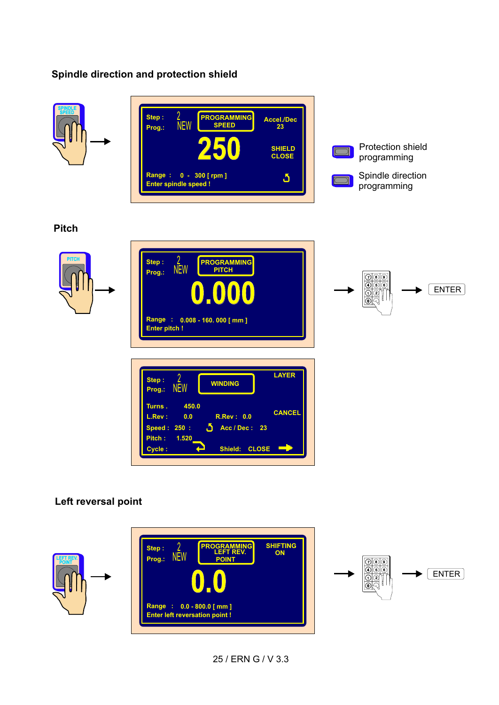# **Spindle direction and protection shield**

![](_page_27_Picture_1.jpeg)

# **Left reversal point**

![](_page_27_Picture_3.jpeg)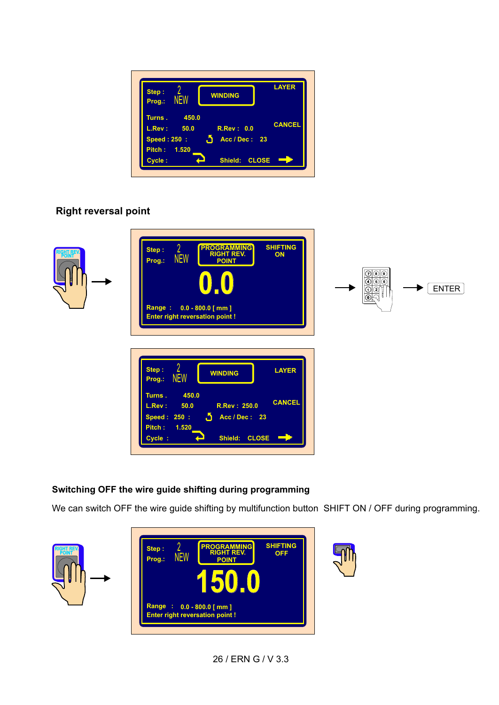![](_page_28_Picture_0.jpeg)

# **Right reversal point**

![](_page_28_Figure_2.jpeg)

# **Switching OFF the wire guide shifting during programming**

We can switch OFF the wire guide shifting by multifunction button SHIFT ON / OFF during programming.

![](_page_28_Picture_5.jpeg)

![](_page_28_Picture_6.jpeg)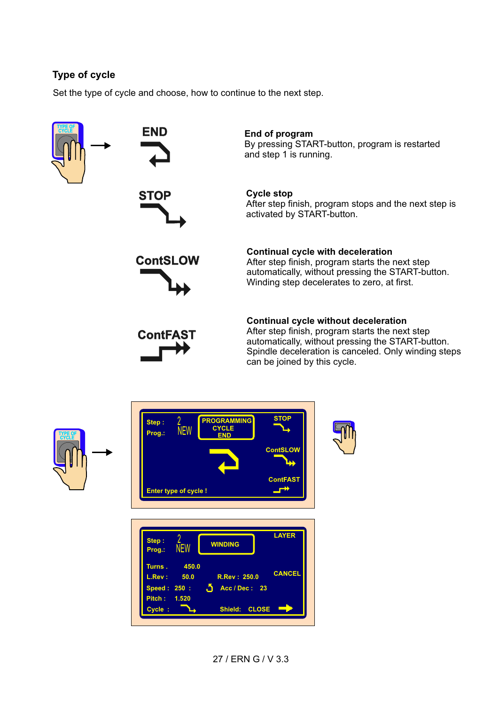# **Type of cycle**

Set the type of cycle and choose, how to continue to the next step.

![](_page_29_Figure_2.jpeg)

![](_page_29_Figure_3.jpeg)

![](_page_29_Picture_4.jpeg)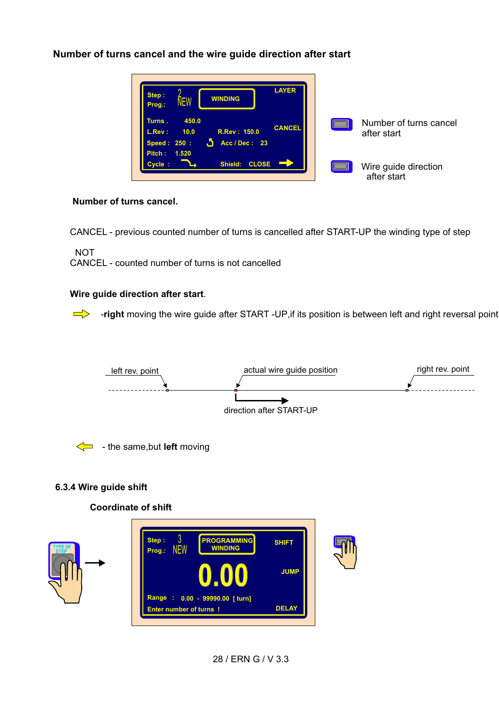# **Number of turns cancel and the wire guide direction after start**

![](_page_30_Picture_1.jpeg)

#### **Number of turns cancel.**

CANCEL - previous counted number of turns is cancelled after START-UP the winding type of step

**NOT** CANCEL - counted number of turns is not cancelled

#### **Wire guide direction after start**.

right moving the wire guide after START -UP, if its position is between left and right reversal point

![](_page_30_Figure_7.jpeg)

the same, but **left** moving

#### **6.3.4 Wire guide shift**

#### **Coordinate of shift**

![](_page_30_Figure_11.jpeg)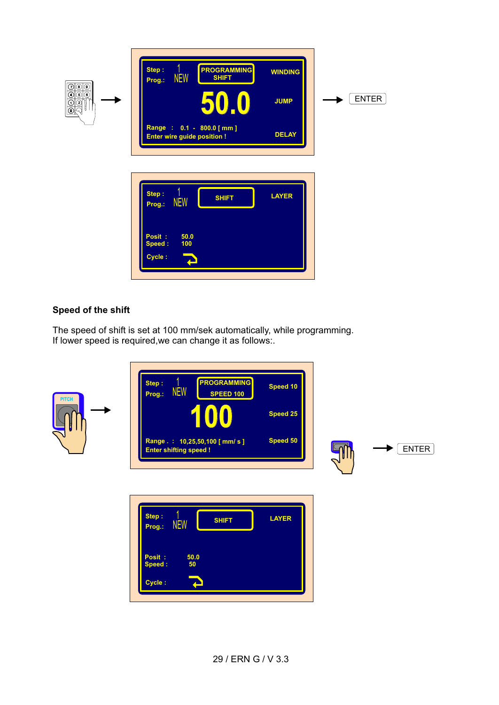| $\boxed{\odot}$<br>⊚ା⊚<br>⊴<br><u>ା</u><br>ଭ | Step:<br><b>PROGRAMMING</b><br><b>NEW</b><br><b>SHIFT</b><br>Prog.:<br>50<br><b>JUMP</b> | <b>WINDING</b><br><b>ENTER</b> |
|----------------------------------------------|------------------------------------------------------------------------------------------|--------------------------------|
|                                              | Range: 0.1 - 800.0 [mm]<br>Enter wire guide position !                                   | <b>DELAY</b>                   |
|                                              |                                                                                          |                                |
|                                              | Step:<br><b>LAYER</b><br><b>SHIFT</b><br><b>NEW</b><br>Prog.:                            |                                |
|                                              | Posit :<br>50.0<br>100<br>Speed:<br>Cycle:                                               |                                |

# **Speed of the shift**

The speed of shift is set at 100 mm/sek automatically, while programming. If lower speed is required,we can change it as follows:.

![](_page_31_Picture_3.jpeg)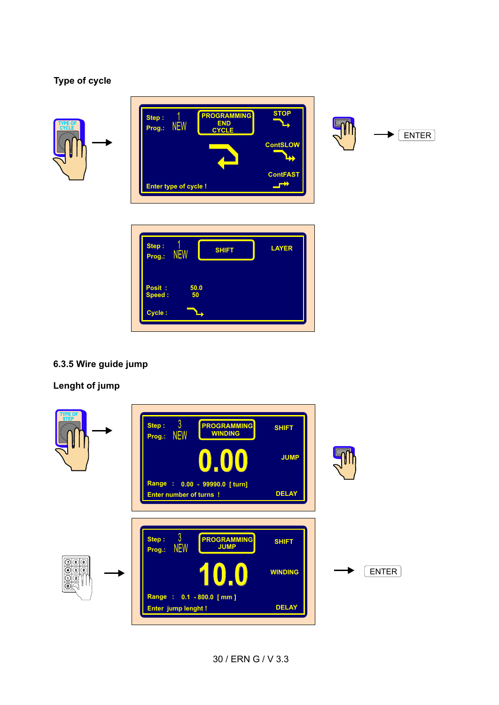# **Type of cycle**

![](_page_32_Picture_1.jpeg)

# **6.3.5 Wire guide jump**

 **Lenght of jump**

![](_page_32_Picture_4.jpeg)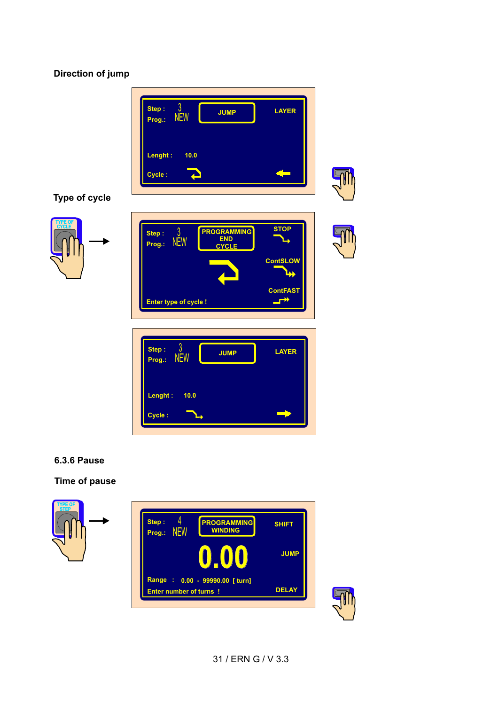# **Direction of jump**

![](_page_33_Picture_1.jpeg)

#### **6.3.6 Pause**

#### **Time of pause**

![](_page_33_Picture_4.jpeg)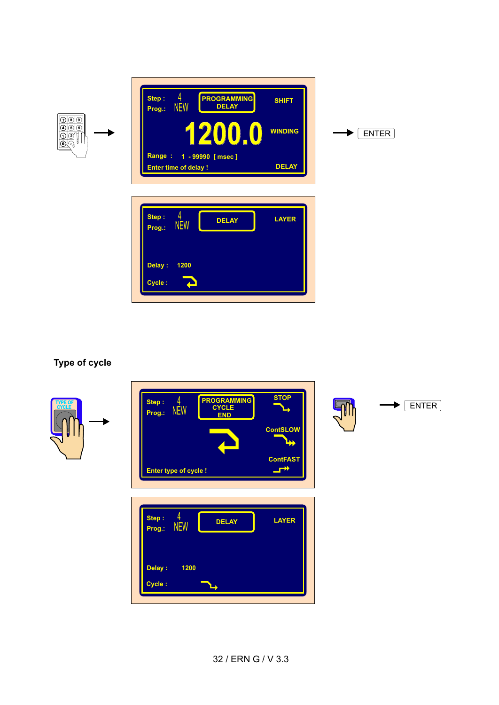![](_page_34_Picture_0.jpeg)

![](_page_34_Picture_1.jpeg)

# **Type of cycle**

 **CYCLE**

![](_page_34_Picture_3.jpeg)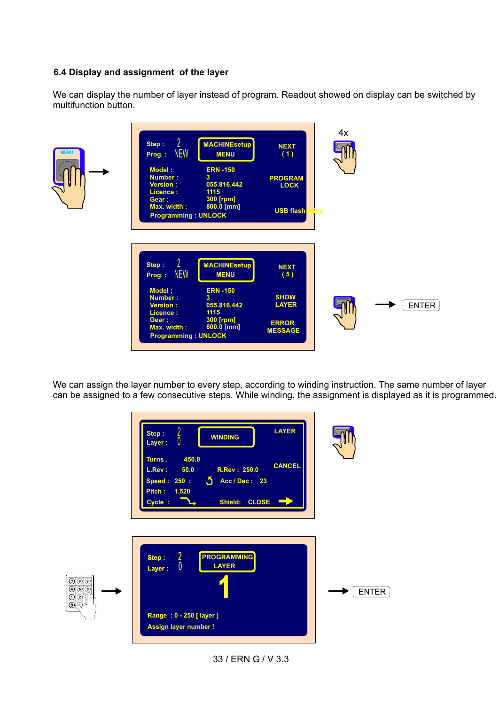#### **6.4 Display and assignment of the layer**

We can display the number of layer instead of program. Readout showed on display can be switched by multifunction button.

![](_page_35_Figure_2.jpeg)

We can assign the layer number to every step, according to winding instruction. The same number of layer can be assigned to a few consecutive steps. While winding, the assignment is displayed as it is programmed.

![](_page_35_Figure_4.jpeg)

33 / ERN G / V 3.3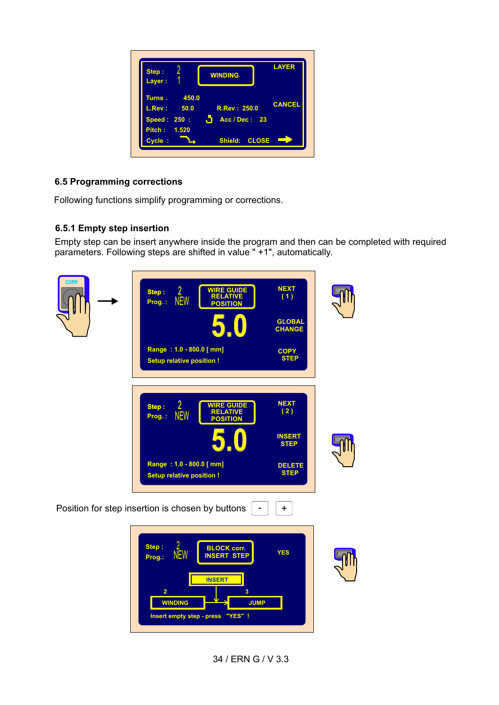| Step:<br>Layer: |          |              | <b>WINDING</b>      |               | <b>LAYER</b>  |
|-----------------|----------|--------------|---------------------|---------------|---------------|
| Turns.          | 450.0    |              |                     |               |               |
| L.Rev:          | 50.0     |              | <b>R.Rev: 250.0</b> |               | <b>CANCEL</b> |
| Speed: 250:     |          | <b>TELES</b> | Acc / Dec: 23       |               |               |
| Pitch:          | $-1.520$ |              |                     |               |               |
| Cycle:          |          |              |                     | Shield: CLOSE |               |

## **6.5 Programming corrections**

Following functions simplify programming or corrections.

## **6.5.1 Empty step insertion**

Empty step can be insert anywhere inside the program and then can be completed with required parameters. Following steps are shifted in value " +1", automatically.

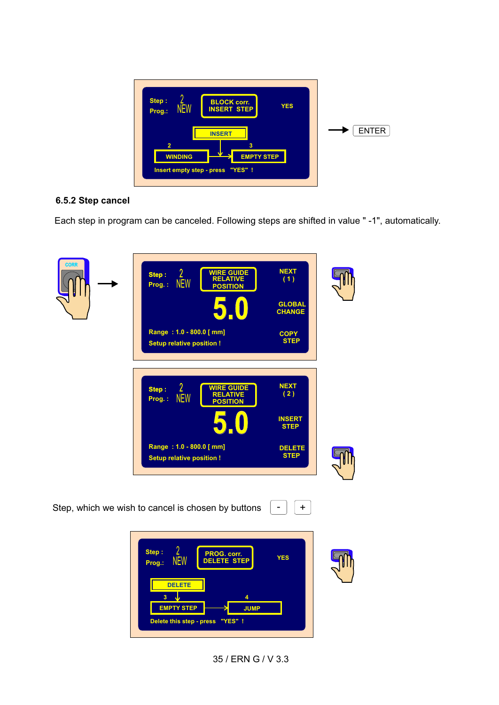| Step:<br><b>BLOCK corr.</b><br><b>YES</b><br><b>NEW</b><br><b>INSERT STEP</b><br>Prog.: |              |
|-----------------------------------------------------------------------------------------|--------------|
| <b>INSERT</b><br>$\overline{2}$                                                         | <b>ENTER</b> |
| <b>EMPTY STEP</b><br><b>WINDING</b><br>Insert empty step - press "YES" !                |              |

## **6.5.2 Step cancel**

Each step in program can be canceled. Following steps are shifted in value " -1", automatically.

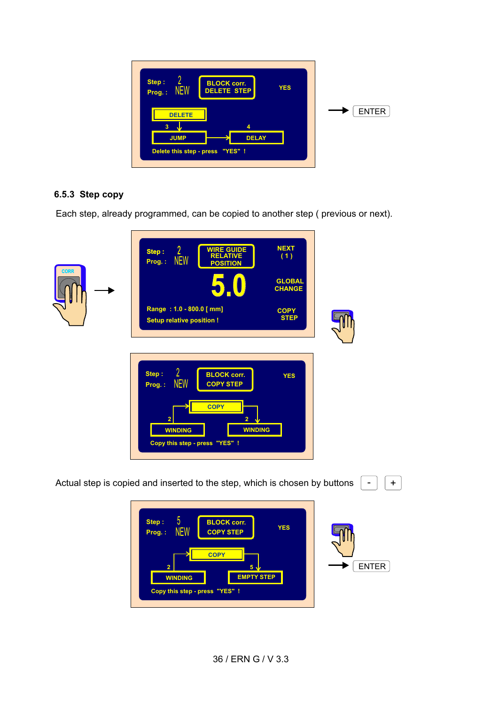| Step:<br><b>BLOCK corr.</b><br><b>NEW</b><br><b>DELETE STEP</b><br>Prog.:                  | <b>YES</b> |      |
|--------------------------------------------------------------------------------------------|------------|------|
| <b>DELETE</b><br>3<br>4<br><b>JUMP</b><br><b>DELAY</b><br>Delete this step - press "YES" ! |            | TER. |

## **6.5.3 Step copy**

Each step, already programmed, can be copied to another step ( previous or next).

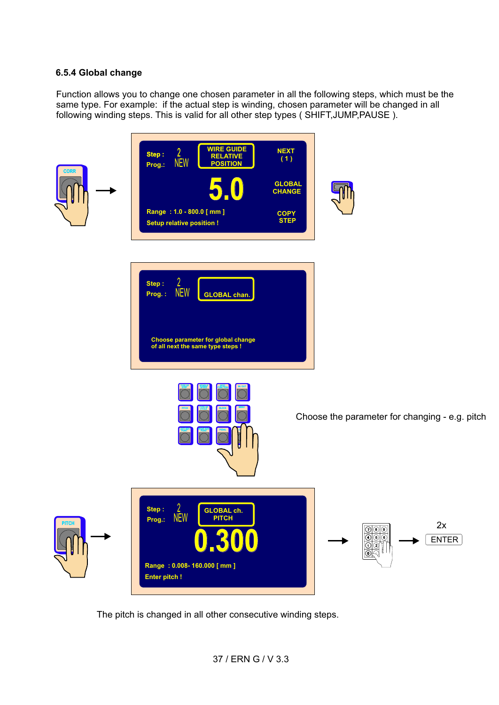## **6.5.4 Global change**

Function allows you to change one chosen parameter in all the following steps, which must be the same type. For example: if the actual step is winding, chosen parameter will be changed in all following winding steps. This is valid for all other step types ( SHIFT,JUMP,PAUSE ).



The pitch is changed in all other consecutive winding steps.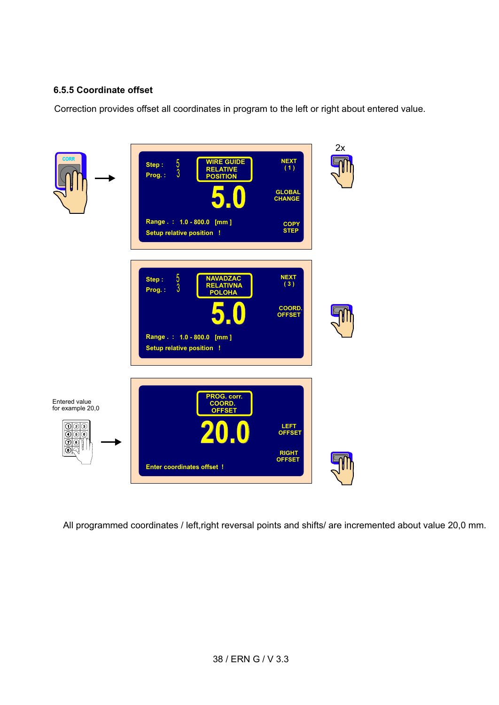## **6.5.5 Coordinate offset**

Correction provides offset all coordinates in program to the left or right about entered value.



All programmed coordinates / left,right reversal points and shifts/ are incremented about value 20,0 mm.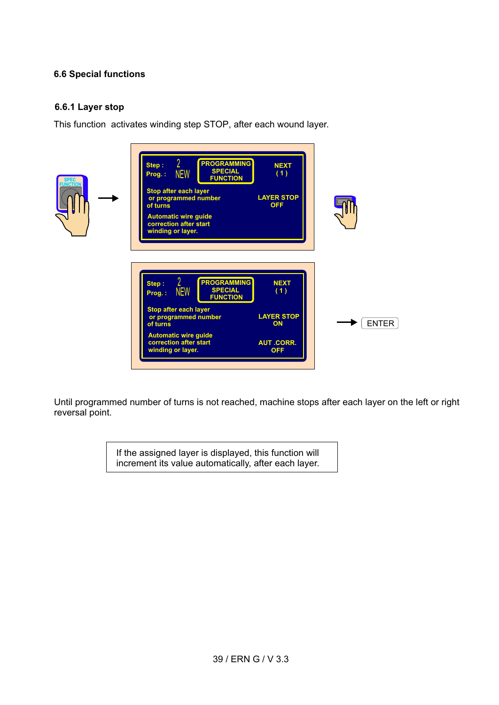## **6.6 Special functions**

### **6.6.1 Layer stop**

This function activates winding step STOP, after each wound layer.



Until programmed number of turns is not reached, machine stops after each layer on the left or right reversal point.

> If the assigned layer is displayed, this function will increment its value automatically, after each layer.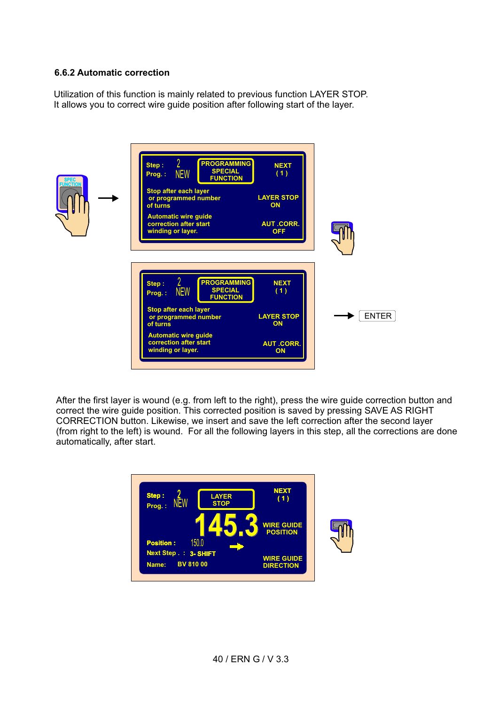## **6.6.2 Automatic correction**

Utilization of this function is mainly related to previous function LAYER STOP. It allows you to correct wire guide position after following start of the layer.



After the first layer is wound (e.g. from left to the right), press the wire guide correction button and correct the wire guide position. This corrected position is saved by pressing SAVE AS RIGHT CORRECTION button. Likewise, we insert and save the left correction after the second layer (from right to the left) is wound. For all the following layers in this step, all the corrections are done automatically, after start.

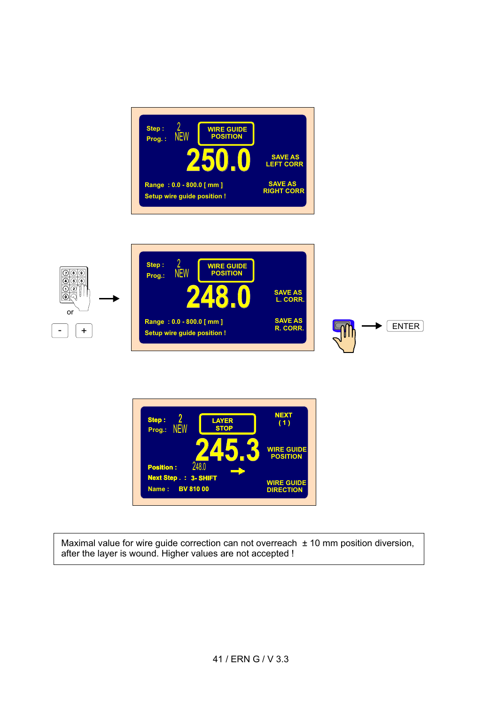





Maximal value for wire guide correction can not overreach  $\pm$  10 mm position diversion, after the layer is wound. Higher values are not accepted !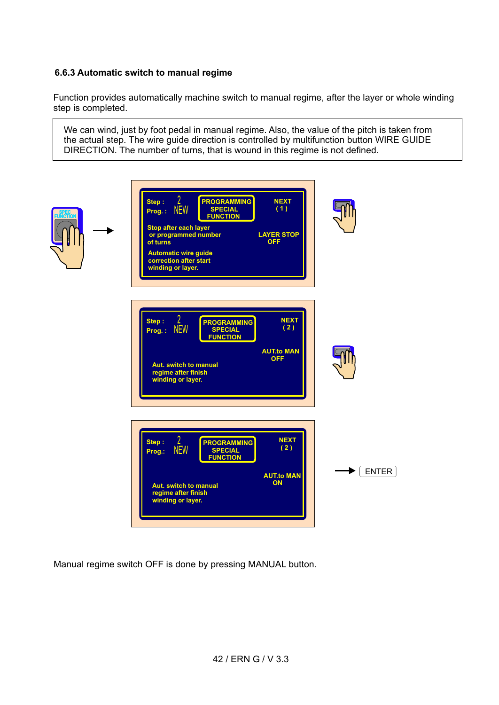## **6.6.3 Automatic switch to manual regime**

Function provides automatically machine switch to manual regime, after the layer or whole winding step is completed.

We can wind, just by foot pedal in manual regime. Also, the value of the pitch is taken from the actual step. The wire guide direction is controlled by multifunction button WIRE GUIDE DIRECTION. The number of turns, that is wound in this regime is not defined.



Manual regime switch OFF is done by pressing MANUAL button.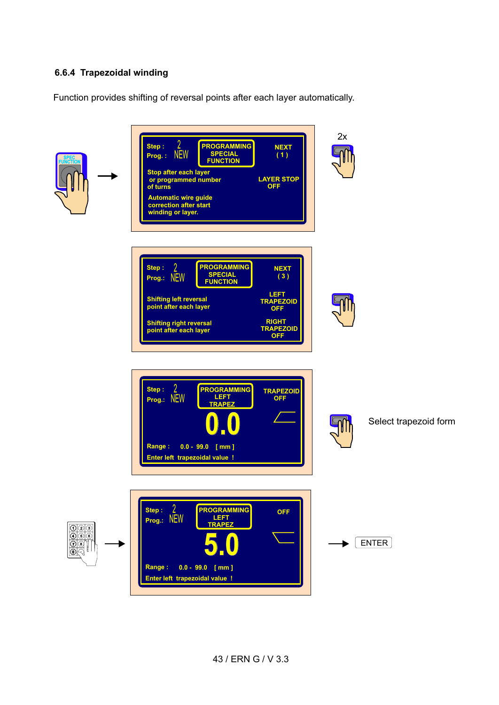## **6.6.4 Trapezoidal winding**

Function provides shifting of reversal points after each layer automatically.

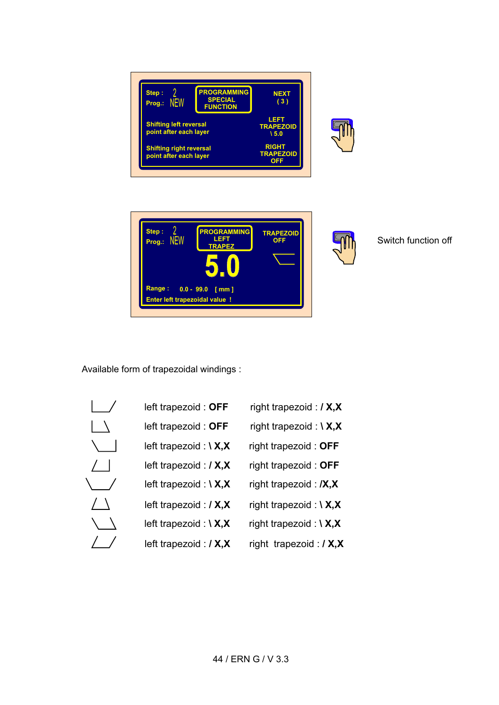





Switch function off

Available form of trapezoidal windings :

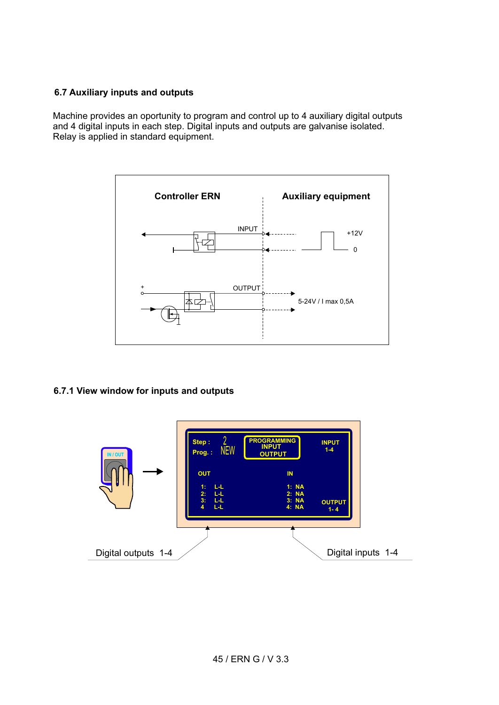#### **6.7 Auxiliary inputs and outputs**

Machine provides an oportunity to program and control up to 4 auxiliary digital outputs and 4 digital inputs in each step. Digital inputs and outputs are galvanise isolated. Relay is applied in standard equipment.



## **6.7.1 View window for inputs and outputs**

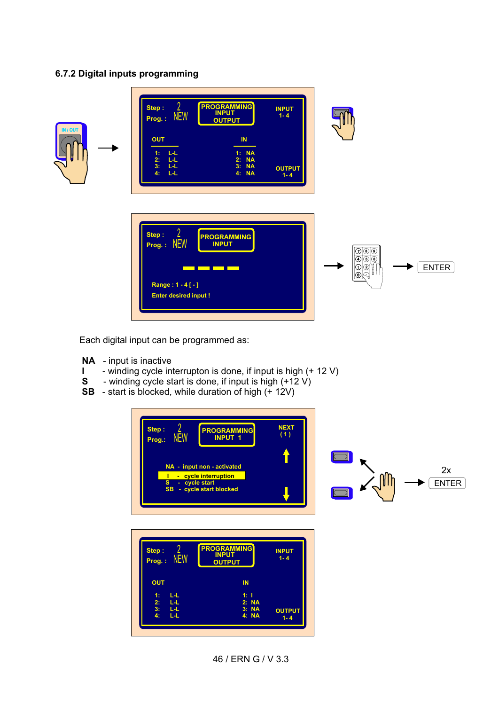## **6.7.2 Digital inputs programming**



Each digital input can be programmed as:

- **NA** input is inactive<br>**I** winding cycle in
- **I** winding cycle interrupton is done, if input is high (+ 12 V)<br>**S** winding cycle start is done, if input is high (+12 V)
- winding cycle start is done, if input is high  $(+12 V)$
- **SB** start is blocked, while duration of high  $(1 + 12V)$

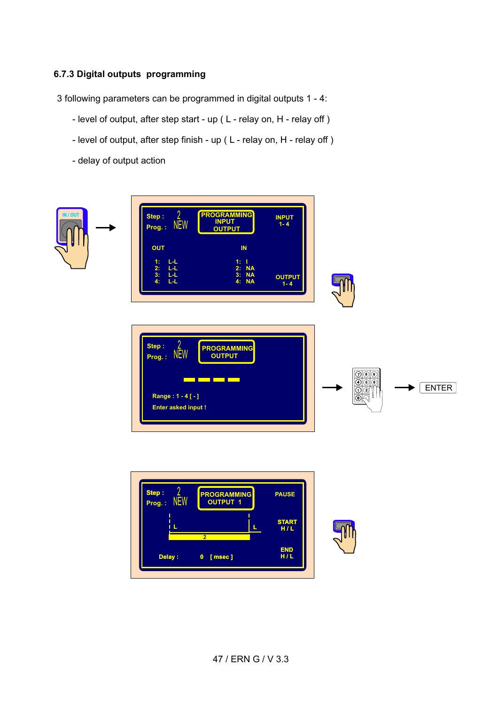## **6.7.3 Digital outputs programming**

3 following parameters can be programmed in digital outputs 1 - 4:

**Enter asked input !**

- level of output, after step start up ( L relay on, H relay off )
- level of output, after step finish up ( L relay on, H relay off )
- delay of output action





0

ن.)(دە

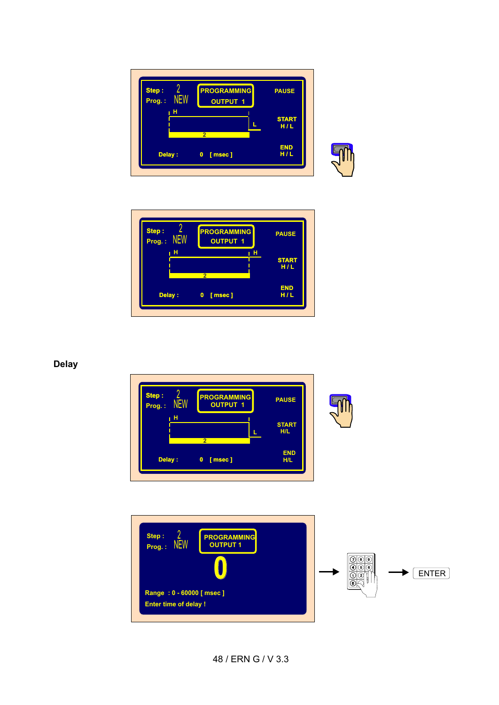



## **Delay**



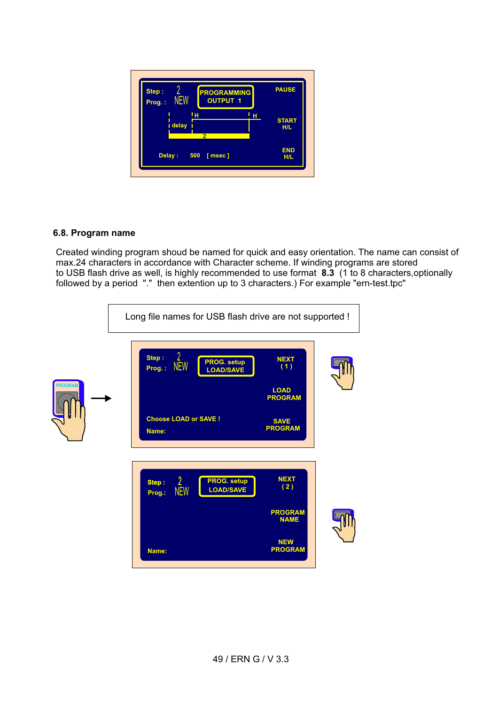

#### **6.8. Program name**

Created winding program shoud be named for quick and easy orientation. The name can consist of max.24 characters in accordance with Character scheme. If winding programs are stored to USB flash drive as well, is highly recommended to use format **8.3** (1 to 8 characters,optionally followed by a period "." then extention up to 3 characters.) For example "ern-test.tpc"

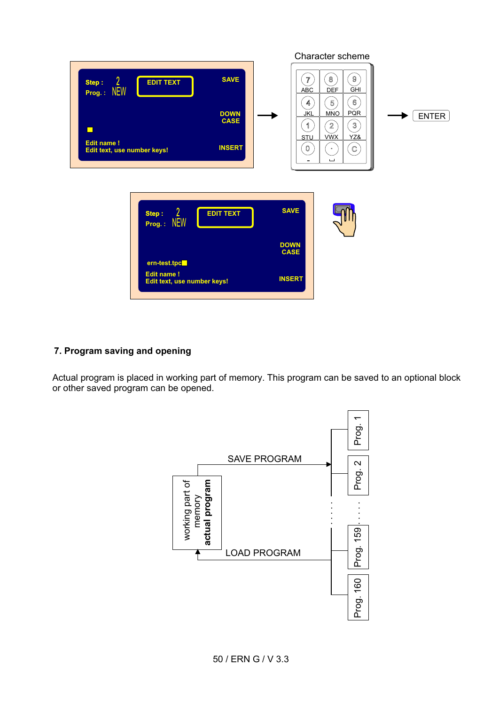

### **7. Program saving and opening**

Actual program is placed in working part of memory. This program can be saved to an optional block or other saved program can be opened.

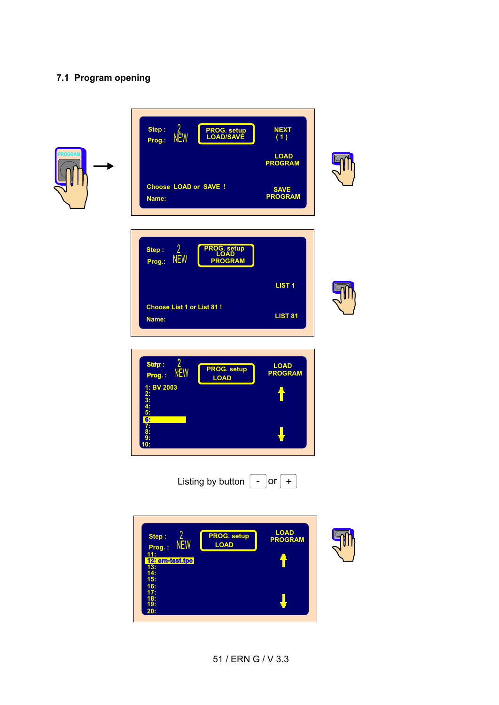# **7.1 Program opening**

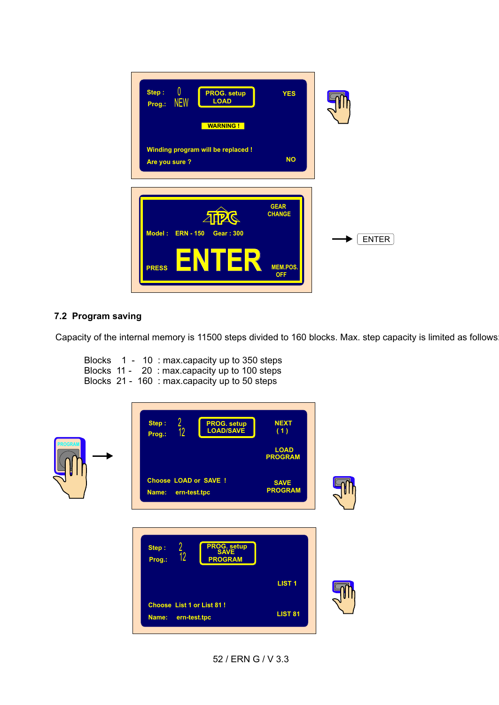

## **7.2 Program saving**

Capacity of the internal memory is 11500 steps divided to 160 blocks. Max. step capacity is limited as follows:

Blocks 1 - 10 : max.capacity up to 350 steps Blocks 11 - 20 : max.capacity up to 100 steps Blocks 21 - 160 : max.capacity up to 50 steps

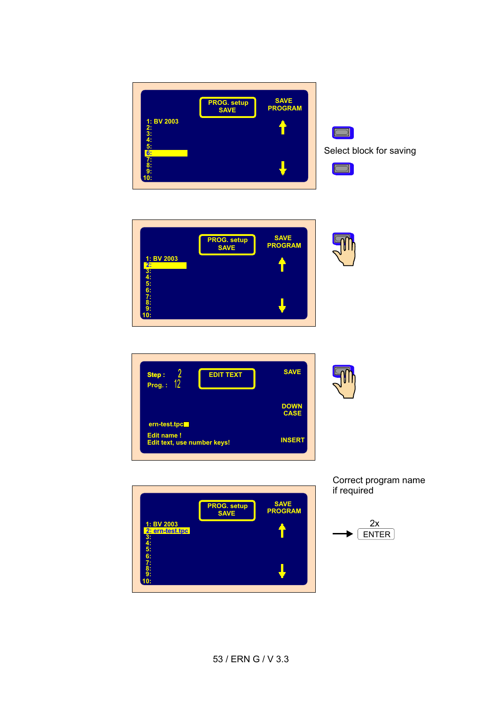



| <b>EDIT TEXT</b><br>Step :<br>Prog. :<br>12      | <b>SAVE</b>                |
|--------------------------------------------------|----------------------------|
| ern-test.tpc                                     | <b>DOWN</b><br><b>CASE</b> |
| <b>Edit name!</b><br>Edit text, use number keys! | <b>INSERT</b>              |



Correct program name if required

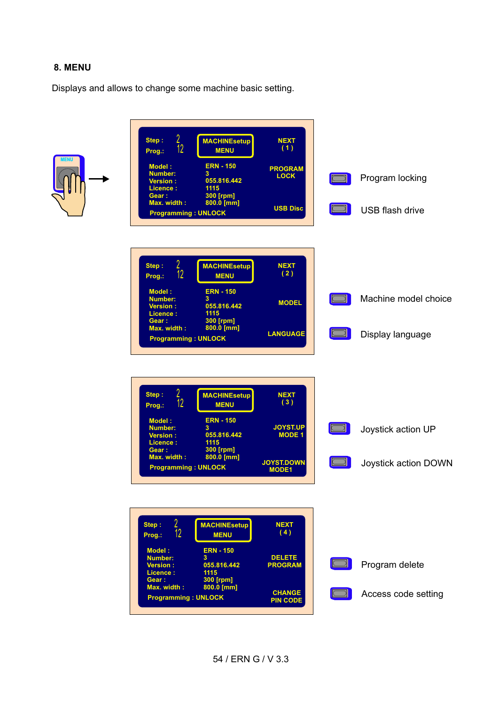#### **8. MENU**

 **MENU**

Displays and allows to change some machine basic setting.

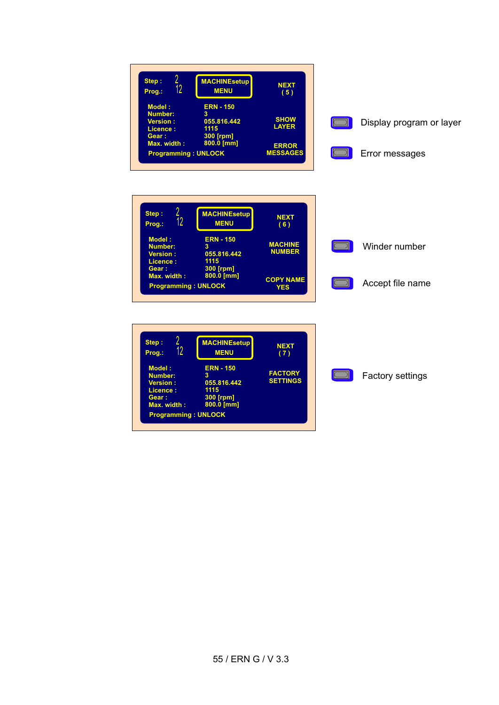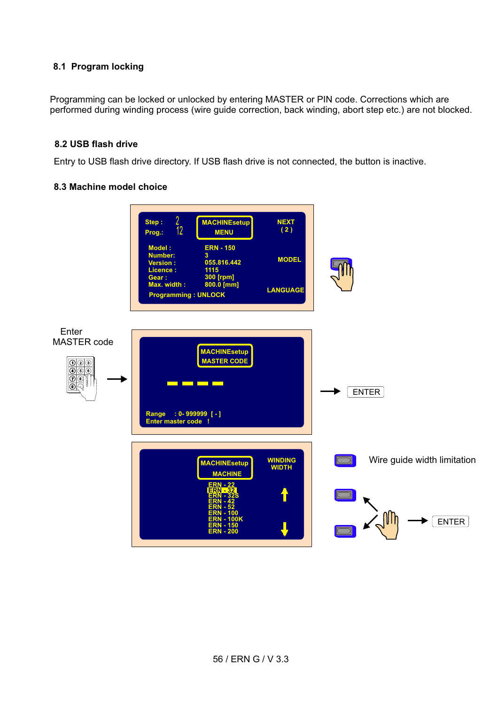## **8.1 Program locking**

Programming can be locked or unlocked by entering MASTER or PIN code. Corrections which are performed during winding process (wire guide correction, back winding, abort step etc.) are not blocked.

#### **8.2 USB flash drive**

Entry to USB flash drive directory. If USB flash drive is not connected, the button is inactive.

#### **8.3 Machine model choice**

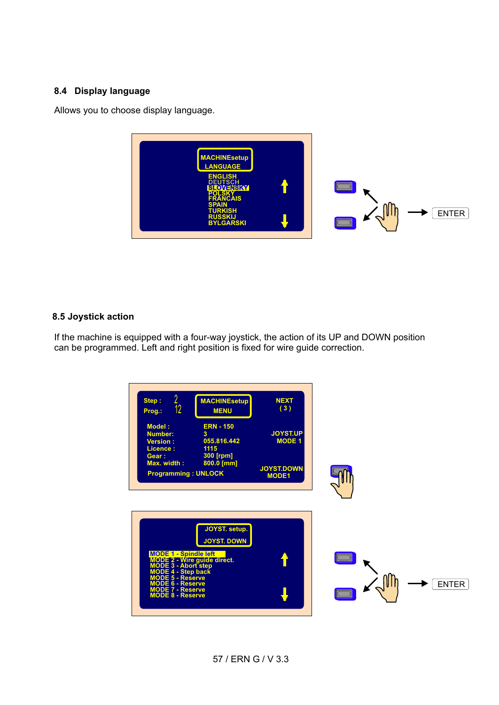## **8.4 Display language**

Allows you to choose display language.



### **8.5 Joystick action**

If the machine is equipped with a four-way joystick, the action of its UP and DOWN position can be programmed. Left and right position is fixed for wire guide correction.

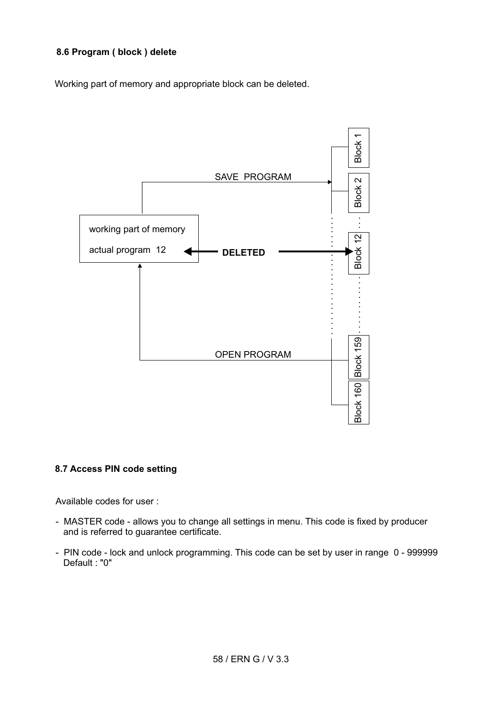## **8.6 Program ( block ) delete**

Working part of memory and appropriate block can be deleted.



#### **8.7 Access PIN code setting**

Available codes for user :

- MASTER code allows you to change all settings in menu. This code is fixed by producer and is referred to guarantee certificate.
- PIN code lock and unlock programming. This code can be set by user in range 0 999999 Default : "0"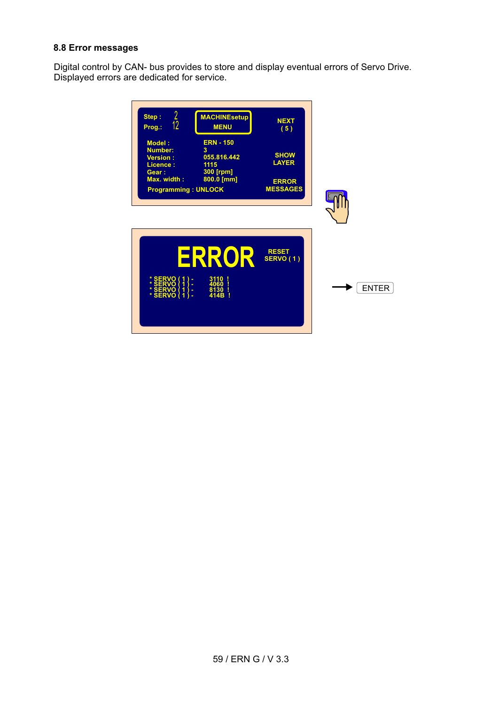#### **8.8 Error messages**

Digital control by CAN- bus provides to store and display eventual errors of Servo Drive. Displayed errors are dedicated for service.

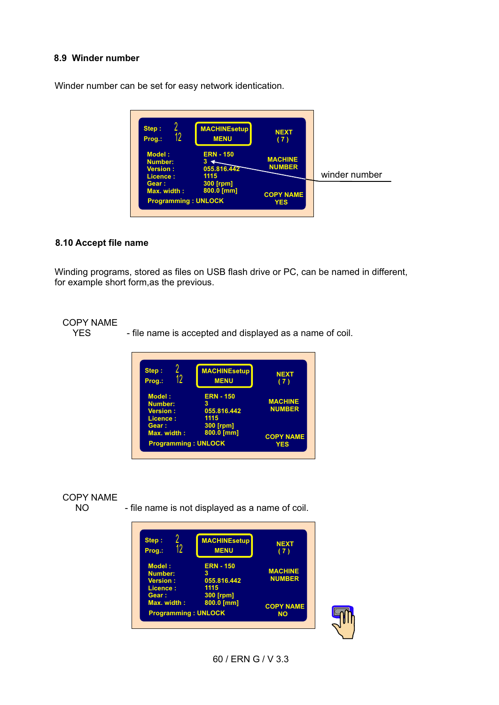#### **8.9 Winder number**

Winder number can be set for easy network identication.



#### **8.10 Accept file name**

 Winding programs, stored as files on USB flash drive or PC, can be named in different, for example short form,as the previous.



# COPY NAME

- file name is not displayed as a name of coil.

| Step:<br>12<br>Prog.:                                     | <b>MACHINEsetup</b><br><b>MENU</b>                        | <b>NEXT</b><br>(7)              |
|-----------------------------------------------------------|-----------------------------------------------------------|---------------------------------|
| Model:<br>Number:<br><b>Version:</b><br>Licence:<br>Gear: | <b>ERN - 150</b><br>з<br>055.816.442<br>1115<br>300 [rpm] | <b>MACHINE</b><br><b>NUMBER</b> |
| Max. width:<br><b>Programming: UNLOCK</b>                 | <b>COPY NAME</b><br><b>NO</b>                             |                                 |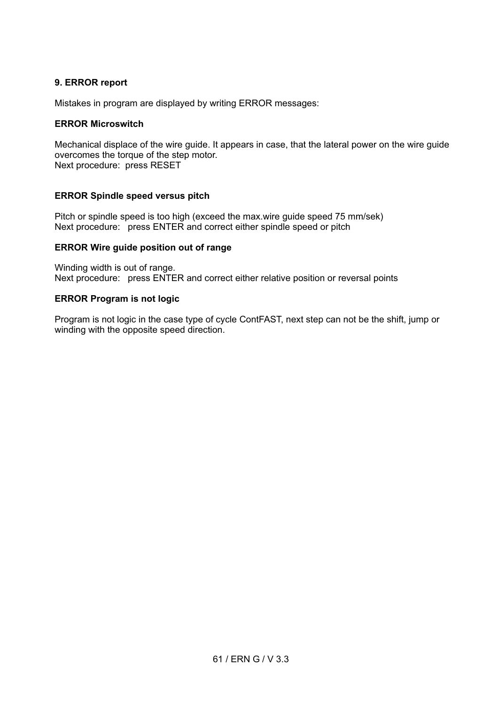## **9. ERROR report**

Mistakes in program are displayed by writing ERROR messages:

#### **ERROR Microswitch**

Mechanical displace of the wire guide. It appears in case, that the lateral power on the wire guide overcomes the torque of the step motor. Next procedure: press RESET

#### **ERROR Spindle speed versus pitch**

Pitch or spindle speed is too high (exceed the max.wire guide speed 75 mm/sek) Next procedure: press ENTER and correct either spindle speed or pitch

## **ERROR Wire guide position out of range**

Winding width is out of range. Next procedure: press ENTER and correct either relative position or reversal points

#### **ERROR Program is not logic**

Program is not logic in the case type of cycle ContFAST, next step can not be the shift, jump or winding with the opposite speed direction.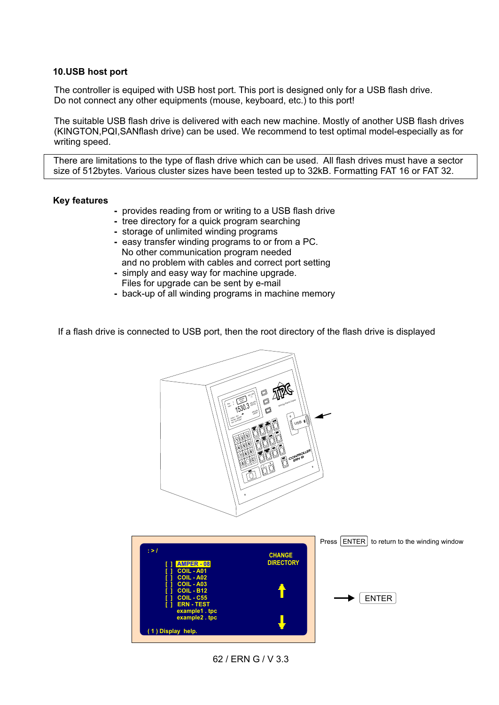#### **10.USB host port**

The controller is equiped with USB host port. This port is designed only for a USB flash drive. Do not connect any other equipments (mouse, keyboard, etc.) to this port!

The suitable USB flash drive is delivered with each new machine. Mostly of another USB flash drives (KINGTON,PQI,SANflash drive) can be used. We recommend to test optimal model-especially as for writing speed.

There are limitations to the type of flash drive which can be used. All flash drives must have a sector size of 512bytes. Various cluster sizes have been tested up to 32kB. Formatting FAT 16 or FAT 32.

#### **Key features**

- **-** provides reading from or writing to a USB flash drive
- **-** tree directory for a quick program searching
- **-** storage of unlimited winding programs
- **-** easy transfer winding programs to or from a PC. No other communication program needed and no problem with cables and correct port setting
- **-** simply and easy way for machine upgrade. Files for upgrade can be sent by e-mail
- **-** back-up of all winding programs in machine memory

If a flash drive is connected to USB port, then the root directory of the flash drive is displayed





62 / ERN G / V 3.3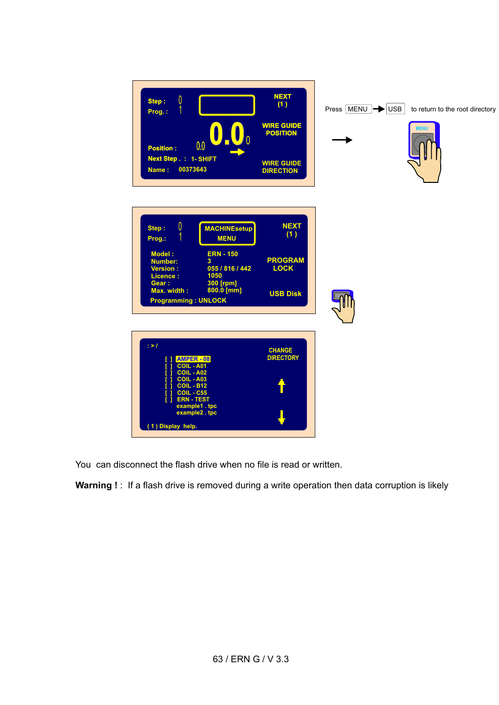

You can disconnect the flash drive when no file is read or written.

**Warning !** : If a flash drive is removed during a write operation then data corruption is likely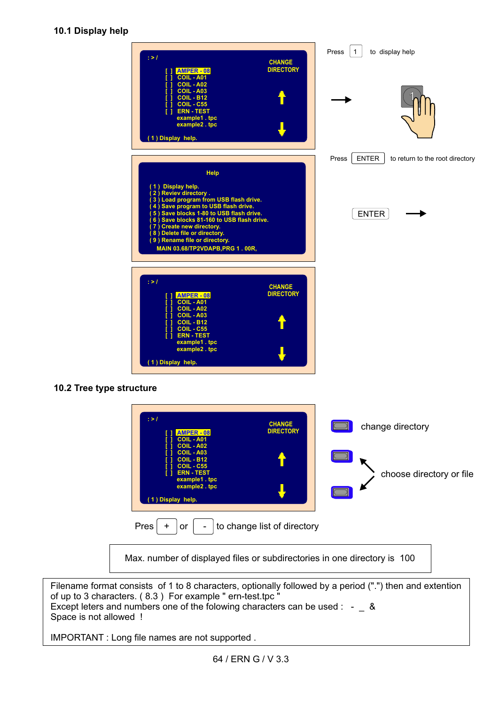#### **10.1 Display help**



#### **10.2 Tree type structure**

| z > l<br><b>CHANGE</b><br><b>DIRECTORY</b><br><b>AMPER - 08</b><br><b>COIL-A01</b><br>COIL-A02<br>COIL-A03<br><b>COIL - B12</b><br><b>COIL - C55</b><br><b>ERN-TEST</b><br>example1.tpc<br>example2.tpc<br>(1) Display help. | change directory<br>choose directory or file |  |  |  |  |
|------------------------------------------------------------------------------------------------------------------------------------------------------------------------------------------------------------------------------|----------------------------------------------|--|--|--|--|
| to change list of directory<br>Pres<br>or                                                                                                                                                                                    |                                              |  |  |  |  |
| Max. number of displayed files or subdirectories in one directory is 100                                                                                                                                                     |                                              |  |  |  |  |
| annaigh an Alba Disponsation ann an a-tharachtaireacha ann an Alba ann an Alba an an Alba an an an an an an an                                                                                                               |                                              |  |  |  |  |

Filename format consists of 1 to 8 characters, optionally followed by a period (".") then and extention of up to 3 characters. ( 8.3 ) For example " ern-test.tpc " Except leters and numbers one of the folowing characters can be used : - & Space is not allowed !

IMPORTANT : Long file names are not supported .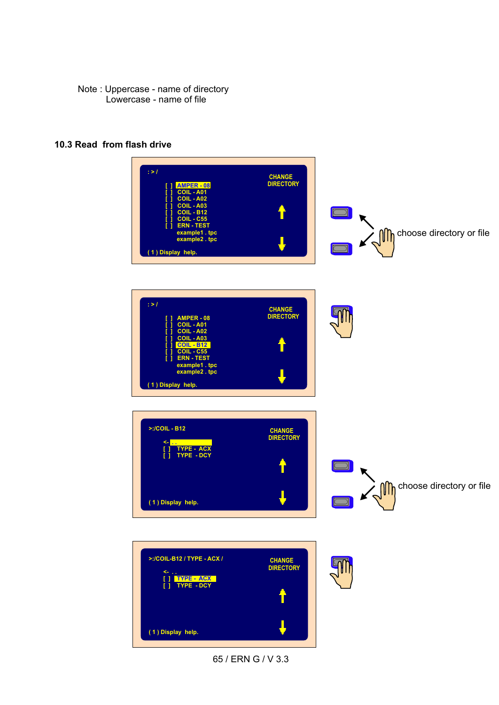Note : Uppercase - name of directory Lowercase - name of file

#### **10.3 Read from flash drive**

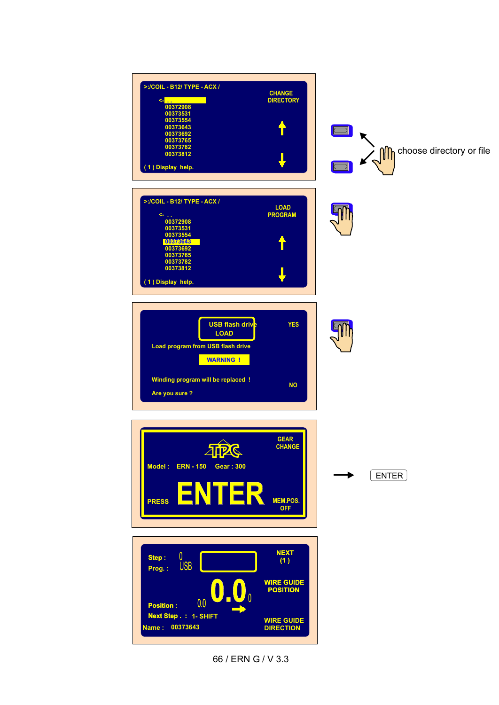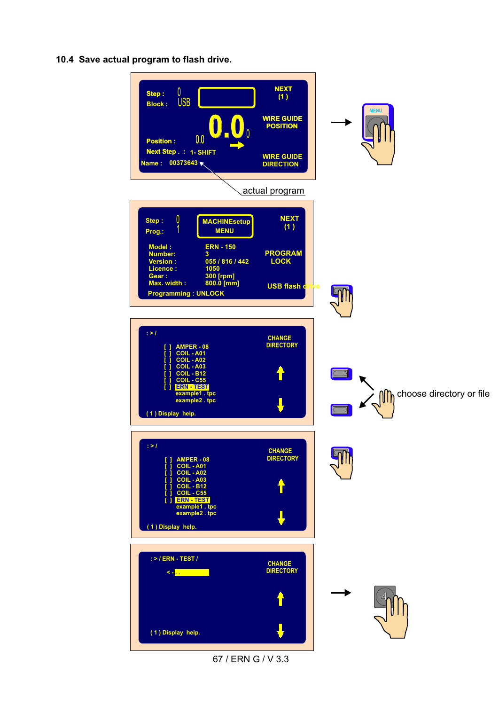#### **10.4 Save actual program to flash drive.**



67 / ERN G / V 3.3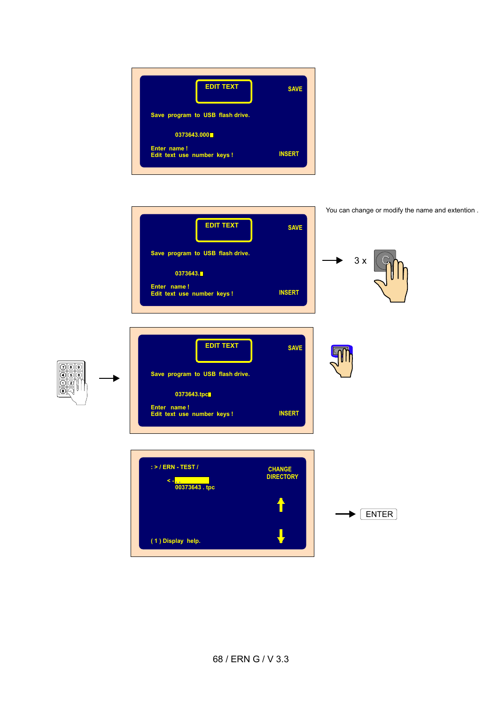

4 0 4)|(5) 0)(人 1儿(2)

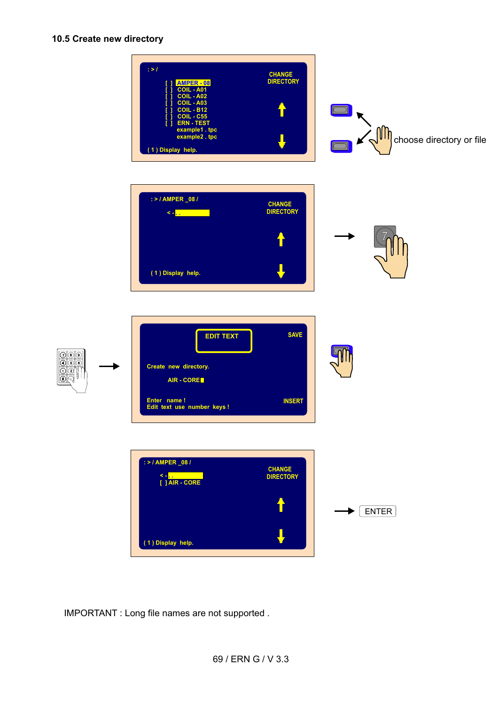#### **10.5 Create new directory**



IMPORTANT : Long file names are not supported .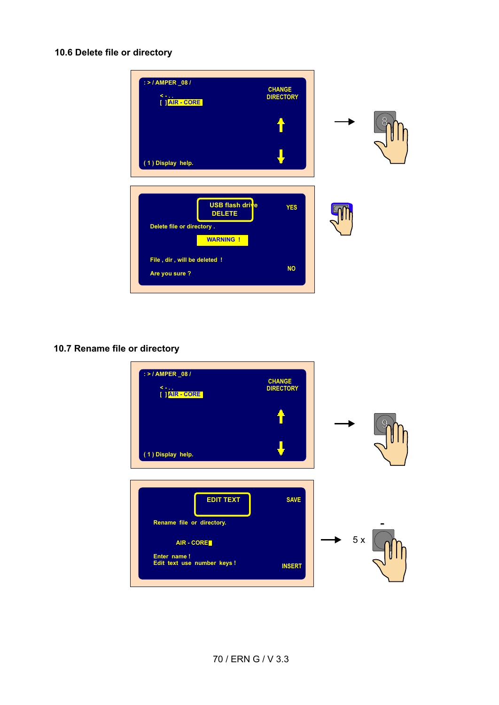## **10.6 Delete file or directory**



#### **10.7 Rename file or directory**

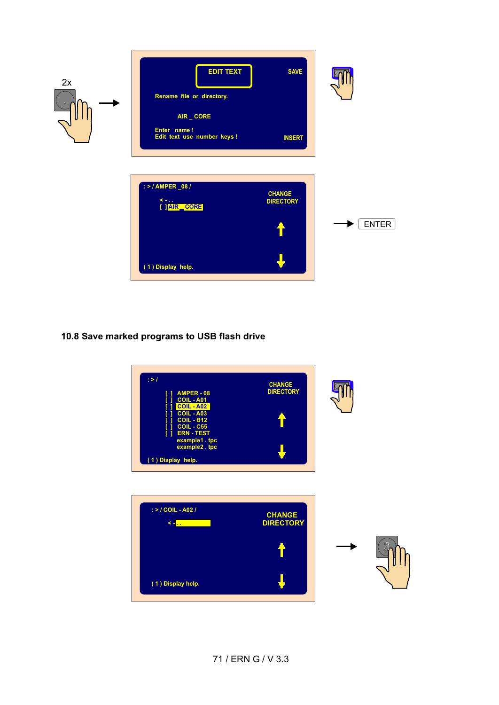

## **10.8 Save marked programs to USB flash drive**



# 71 / ERN G / V 3.3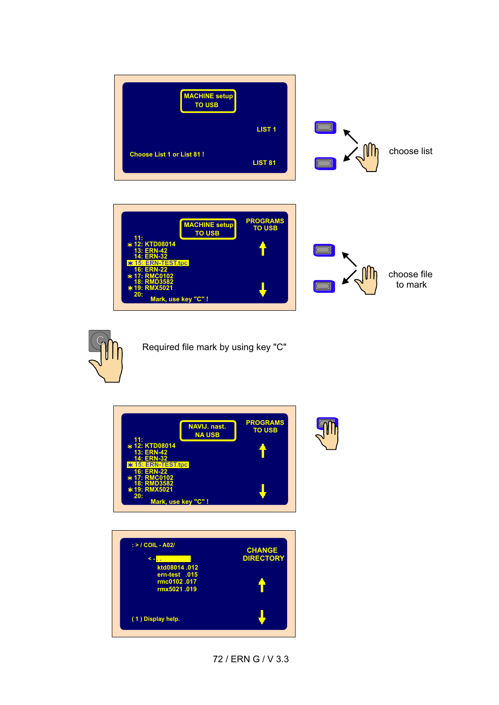

Τ  $\Box$ **14: ERN-32 15: ERN-TEST.tpc 16: ERN-22** choose file **17: RMC0102 18: RMD3582** to mark J  $\Box$ **19: RMX5021 Mark, use key "C" !** 

 **20:**

Required file mark by using key "C"



72 / ERN G / V 3.3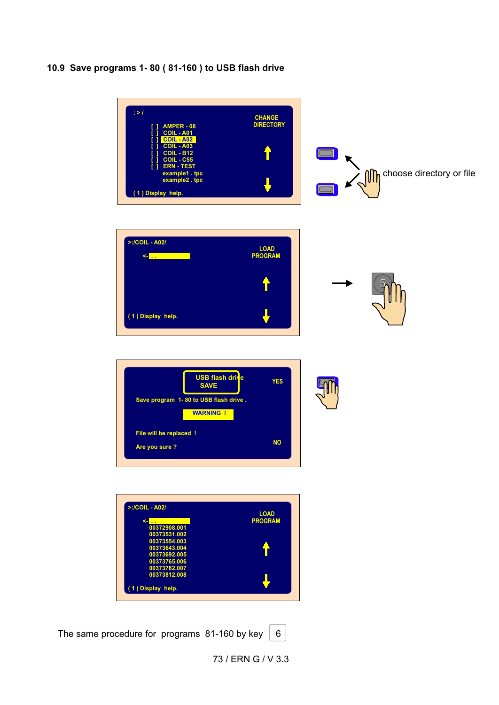# **10.9 Save programs 1- 80 ( 81-160 ) to USB flash drive**

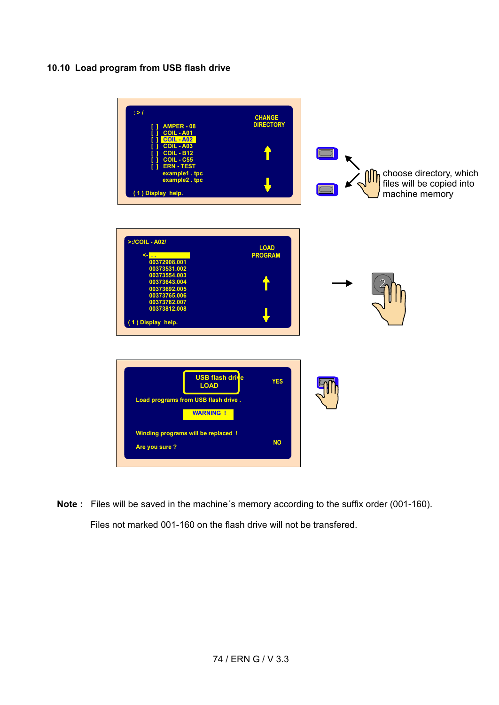## **10.10 Load program from USB flash drive**



**Note :** Files will be saved in the machine´s memory according to the suffix order (001-160). Files not marked 001-160 on the flash drive will not be transfered.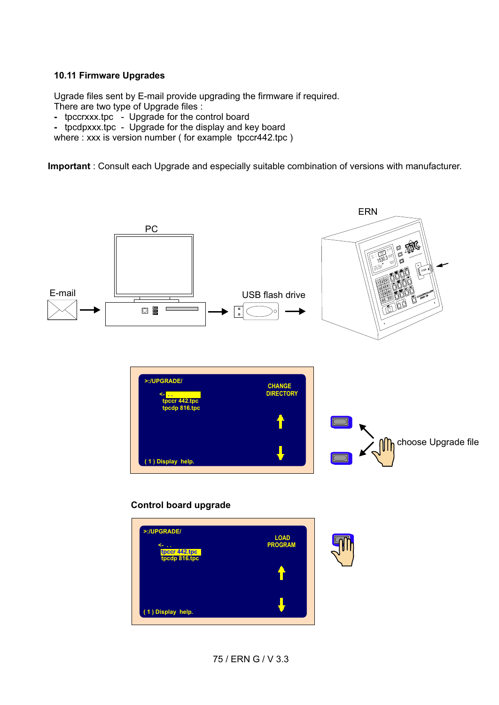### **10.11 Firmware Upgrades**

Ugrade files sent by E-mail provide upgrading the firmware if required. There are two type of Upgrade files :

**-** tpccrxxx.tpc - Upgrade for the control board

**-** tpcdpxxx.tpc - Upgrade for the display and key board

where : xxx is version number ( for example tpccr442.tpc )

**Important** : Consult each Upgrade and especially suitable combination of versions with manufacturer.



#### **Control board upgrade**



## 75 / ERN G / V 3.3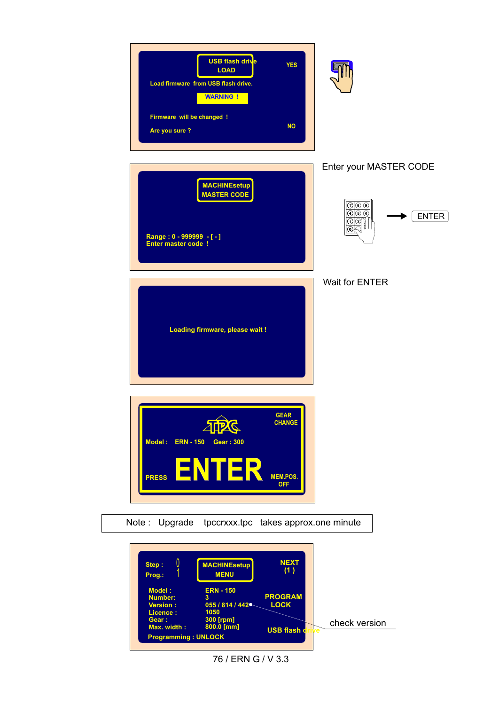

76 / ERN G / V 3.3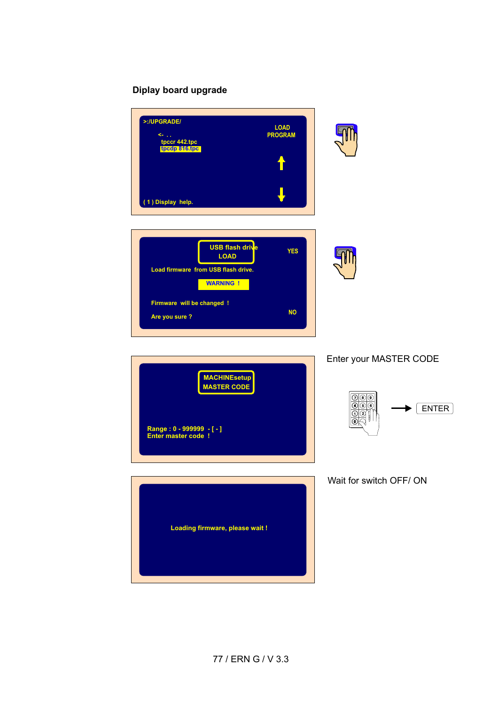## **Diplay board upgrade**

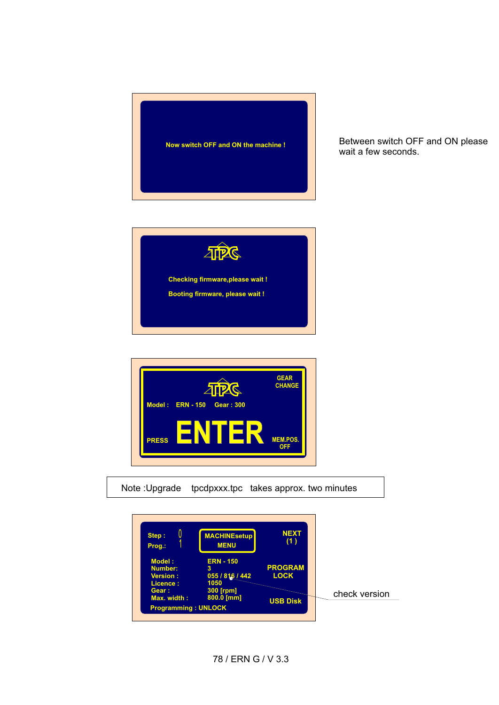

wait a few seconds.





Note :Upgrade tpcdpxxx.tpc takes approx. two minutes

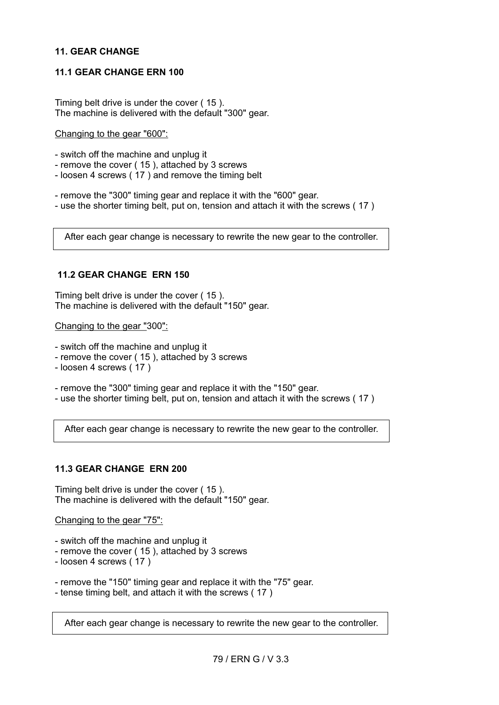## **11. GEAR CHANGE**

#### **11.1 GEAR CHANGE ERN 100**

Timing belt drive is under the cover ( 15 ). The machine is delivered with the default "300" gear.

Changing to the gear "600":

- switch off the machine and unplug it
- remove the cover ( 15 ), attached by 3 screws
- loosen 4 screws ( 17 ) and remove the timing belt
- remove the "300" timing gear and replace it with the "600" gear.
- use the shorter timing belt, put on, tension and attach it with the screws ( 17 )

After each gear change is necessary to rewrite the new gear to the controller.

### **11.2 GEAR CHANGE ERN 150**

Timing belt drive is under the cover ( 15 ). The machine is delivered with the default "150" gear.

Changing to the gear "300":

- switch off the machine and unplug it
- remove the cover ( 15 ), attached by 3 screws
- loosen 4 screws ( 17 )

- remove the "300" timing gear and replace it with the "150" gear.

- use the shorter timing belt, put on, tension and attach it with the screws ( 17 )

After each gear change is necessary to rewrite the new gear to the controller.

#### **11.3 GEAR CHANGE ERN 200**

Timing belt drive is under the cover ( 15 ). The machine is delivered with the default "150" gear.

Changing to the gear "75":

- switch off the machine and unplug it
- remove the cover ( 15 ), attached by 3 screws
- loosen 4 screws ( 17 )
- remove the "150" timing gear and replace it with the "75" gear.
- tense timing belt, and attach it with the screws ( 17 )

After each gear change is necessary to rewrite the new gear to the controller.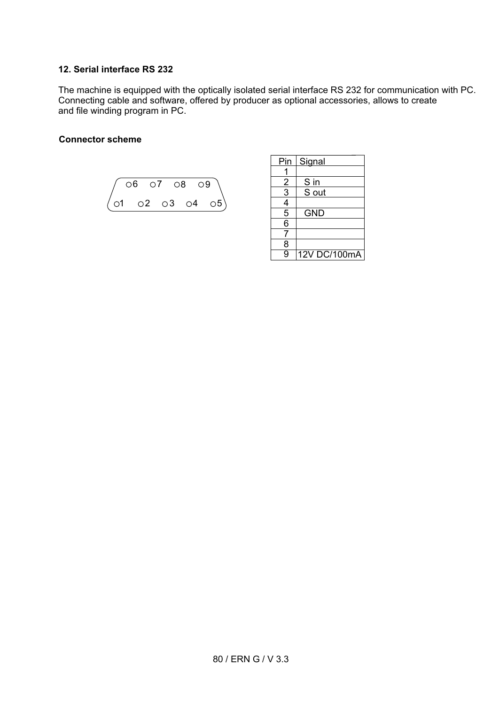## **12. Serial interface RS 232**

The machine is equipped with the optically isolated serial interface RS 232 for communication with PC. Connecting cable and software, offered by producer as optional accessories, allows to create and file winding program in PC.

#### **Connector scheme**

 $01$   $02$   $03$   $04$   $05$  $\circ$ 6  $\circ$ 7  $\circ$ 8  $\circ$ 9

| Pin            | Signal       |
|----------------|--------------|
|                |              |
| 2              | S in         |
| 3              | S out        |
| 4              |              |
| $\overline{5}$ | <b>GND</b>   |
| 6              |              |
|                |              |
| 8              |              |
| q              | 12V DC/100mA |